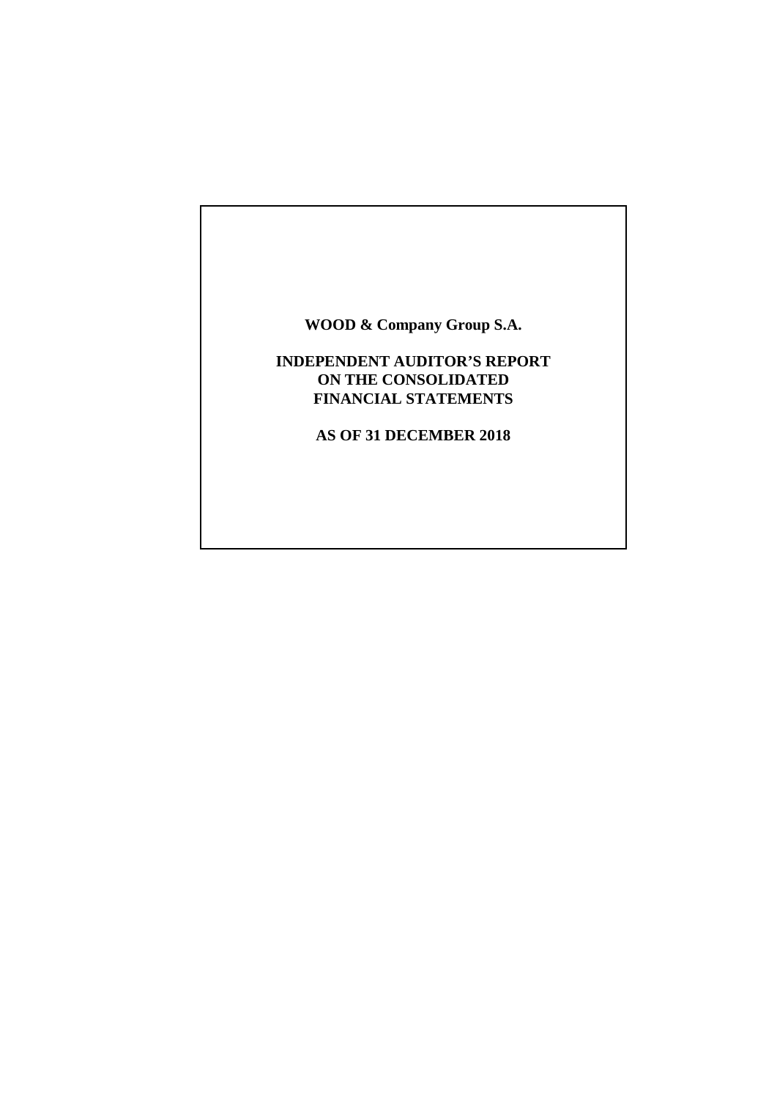# **WOOD & Company Group S.A.**

# **INDEPENDENT AUDITOR'S REPORT ON THE CONSOLIDATED FINANCIAL STATEMENTS**

**AS OF 31 DECEMBER 2018**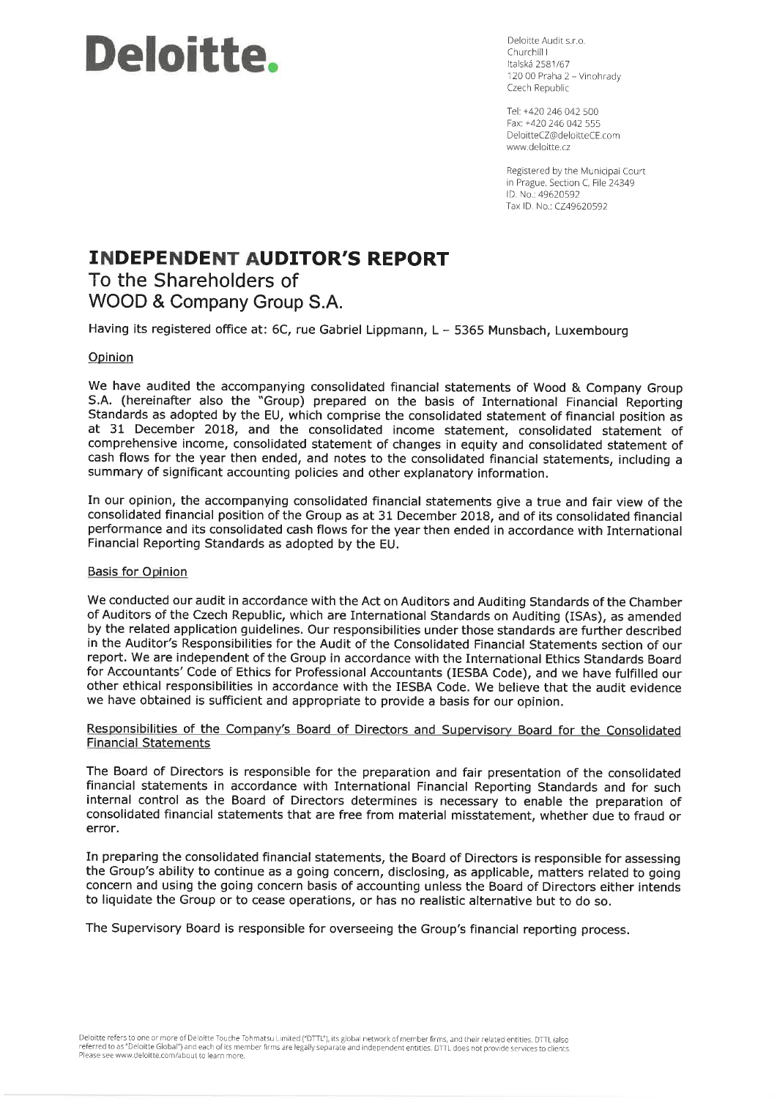# **Deloitte**.

Deloitte Audit s.r.o. Churchill L Italská 2581/67 120 00 Praha 2 - Vinohrady Czech Republic

Tel: +420 246 042 500 Fax: +420 246 042 555 DeloitteCZ@deloitteCE.com www.deloitte.cz

Registered by the Municipal Court in Prague, Section C, File 24349 ID. No.: 49620592 Tax ID. No.: CZ49620592

# **INDEPENDENT AUDITOR'S REPORT** To the Shareholders of

WOOD & Company Group S.A.

Having its registered office at: 6C, rue Gabriel Lippmann, L - 5365 Munsbach, Luxembourg

#### Opinion

We have audited the accompanying consolidated financial statements of Wood & Company Group S.A. (hereinafter also the "Group) prepared on the basis of International Financial Reporting Standards as adopted by the EU, which comprise the consolidated statement of financial position as at 31 December 2018, and the consolidated income statement, consolidated statement of comprehensive income, consolidated statement of changes in equity and consolidated statement of cash flows for the year then ended, and notes to the consolidated financial statements, including a summary of significant accounting policies and other explanatory information.

In our opinion, the accompanying consolidated financial statements give a true and fair view of the consolidated financial position of the Group as at 31 December 2018, and of its consolidated financial performance and its consolidated cash flows for the year then ended in accordance with International Financial Reporting Standards as adopted by the EU.

#### **Basis for Opinion**

We conducted our audit in accordance with the Act on Auditors and Auditing Standards of the Chamber of Auditors of the Czech Republic, which are International Standards on Auditing (ISAs), as amended by the related application guidelines. Our responsibilities under those standards are further described in the Auditor's Responsibilities for the Audit of the Consolidated Financial Statements section of our report. We are independent of the Group in accordance with the International Ethics Standards Board for Accountants' Code of Ethics for Professional Accountants (IESBA Code), and we have fulfilled our other ethical responsibilities in accordance with the IESBA Code. We believe that the audit evidence we have obtained is sufficient and appropriate to provide a basis for our opinion.

#### Responsibilities of the Company's Board of Directors and Supervisory Board for the Consolidated **Financial Statements**

The Board of Directors is responsible for the preparation and fair presentation of the consolidated financial statements in accordance with International Financial Reporting Standards and for such internal control as the Board of Directors determines is necessary to enable the preparation of consolidated financial statements that are free from material misstatement, whether due to fraud or error.

In preparing the consolidated financial statements, the Board of Directors is responsible for assessing the Group's ability to continue as a going concern, disclosing, as applicable, matters related to going concern and using the going concern basis of accounting unless the Board of Directors either intends to liquidate the Group or to cease operations, or has no realistic alternative but to do so.

The Supervisory Board is responsible for overseeing the Group's financial reporting process.

Deloitte refers to one or more of Deloitte Touche Tohmatsu Limited ("DTTL"), its global network of member firms, and their related entities. DTTL (also referred to as "Deloitte Global") and each of its member firms are legally separate and independent entities. DTTL does not provide services to clients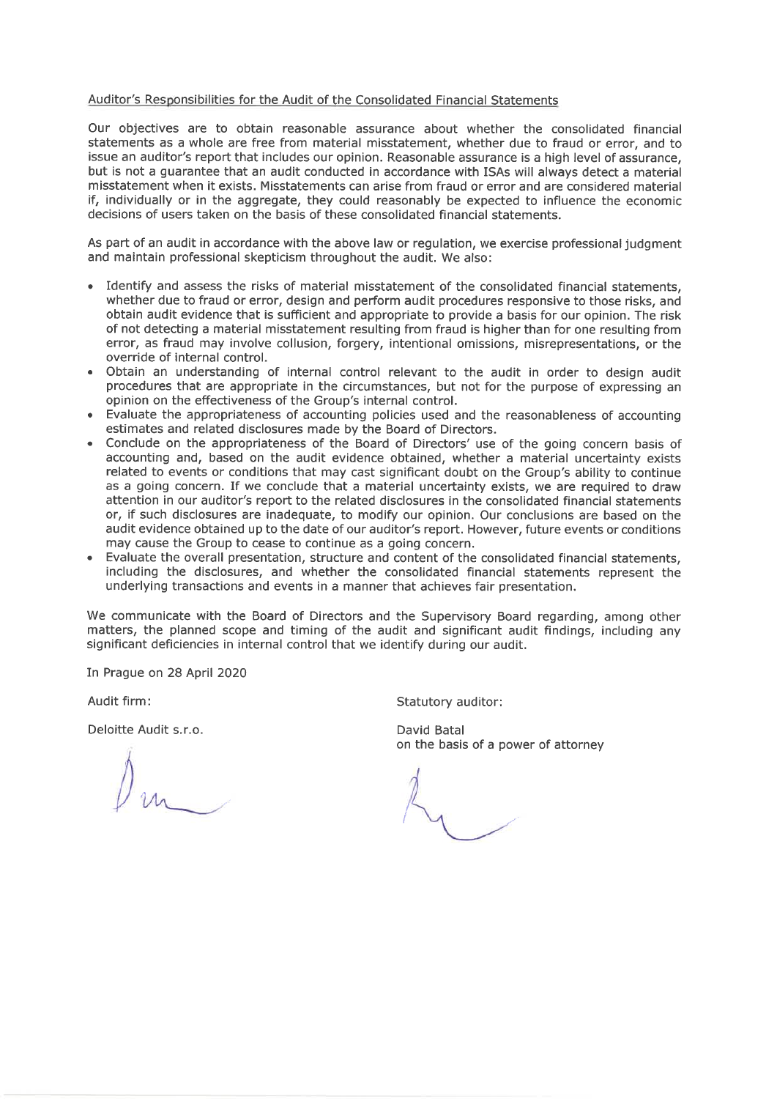#### Auditor's Responsibilities for the Audit of the Consolidated Financial Statements

Our objectives are to obtain reasonable assurance about whether the consolidated financial statements as a whole are free from material misstatement, whether due to fraud or error, and to issue an auditor's report that includes our opinion. Reasonable assurance is a high level of assurance, but is not a quarantee that an audit conducted in accordance with ISAs will always detect a material misstatement when it exists. Misstatements can arise from fraud or error and are considered material if, individually or in the aggregate, they could reasonably be expected to influence the economic decisions of users taken on the basis of these consolidated financial statements.

As part of an audit in accordance with the above law or regulation, we exercise professional judgment and maintain professional skepticism throughout the audit. We also:

- Identify and assess the risks of material misstatement of the consolidated financial statements. whether due to fraud or error, design and perform audit procedures responsive to those risks, and obtain audit evidence that is sufficient and appropriate to provide a basis for our opinion. The risk of not detecting a material misstatement resulting from fraud is higher than for one resulting from error, as fraud may involve collusion, forgery, intentional omissions, misrepresentations, or the override of internal control.
- Obtain an understanding of internal control relevant to the audit in order to design audit procedures that are appropriate in the circumstances, but not for the purpose of expressing an opinion on the effectiveness of the Group's internal control.
- Evaluate the appropriateness of accounting policies used and the reasonableness of accounting estimates and related disclosures made by the Board of Directors.
- Conclude on the appropriateness of the Board of Directors' use of the going concern basis of accounting and, based on the audit evidence obtained, whether a material uncertainty exists related to events or conditions that may cast significant doubt on the Group's ability to continue as a going concern. If we conclude that a material uncertainty exists, we are required to draw attention in our auditor's report to the related disclosures in the consolidated financial statements or, if such disclosures are inadequate, to modify our opinion. Our conclusions are based on the audit evidence obtained up to the date of our auditor's report. However, future events or conditions may cause the Group to cease to continue as a going concern.
- Evaluate the overall presentation, structure and content of the consolidated financial statements, including the disclosures, and whether the consolidated financial statements represent the underlying transactions and events in a manner that achieves fair presentation.

We communicate with the Board of Directors and the Supervisory Board regarding, among other matters, the planned scope and timing of the audit and significant audit findings, including any significant deficiencies in internal control that we identify during our audit.

In Prague on 28 April 2020

Audit firm:

Deloitte Audit s.r.o.

Statutory auditor:

David Batal on the basis of a power of attorney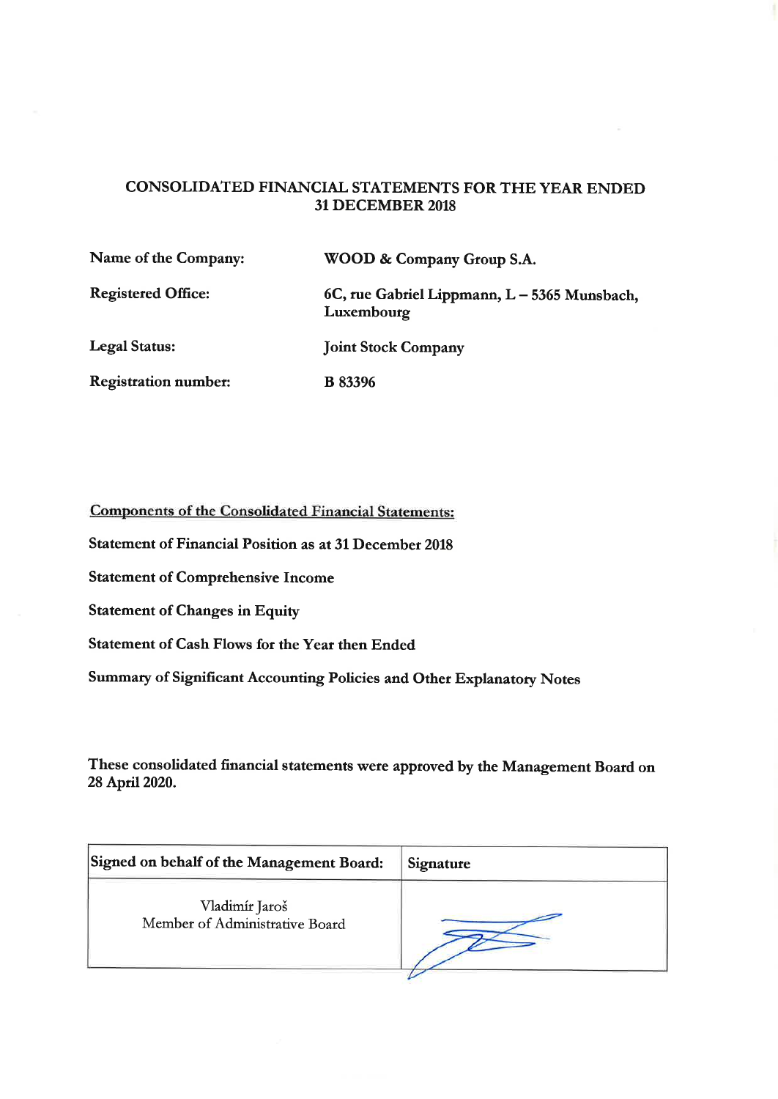# CONSOLIDATED FINANCIAL STATEMENTS FOR THE YEAR ENDED **31 DECEMBER 2018**

| Name of the Company:        | WOOD & Company Group S.A.                                  |
|-----------------------------|------------------------------------------------------------|
| <b>Registered Office:</b>   | 6C, rue Gabriel Lippmann, L - 5365 Munsbach,<br>Luxembourg |
| Legal Status:               | <b>Joint Stock Company</b>                                 |
| <b>Registration number:</b> | <b>B</b> 83396                                             |

**Components of the Consolidated Financial Statements:** 

**Statement of Financial Position as at 31 December 2018** 

**Statement of Comprehensive Income** 

**Statement of Changes in Equity** 

**Statement of Cash Flows for the Year then Ended** 

Summary of Significant Accounting Policies and Other Explanatory Notes

These consolidated financial statements were approved by the Management Board on 28 April 2020.

| Signed on behalf of the Management Board:        | Signature |
|--------------------------------------------------|-----------|
| Vladimír Jaroš<br>Member of Administrative Board |           |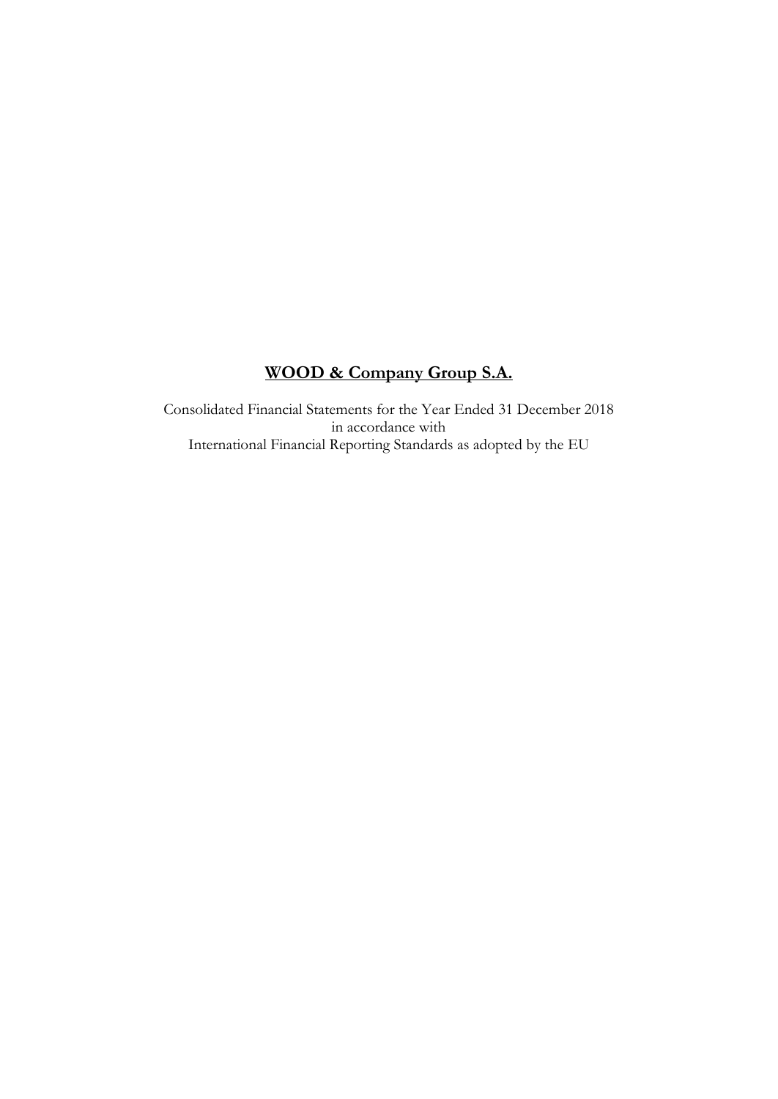# **WOOD & Company Group S.A.**

Consolidated Financial Statements for the Year Ended 31 December 2018 in accordance with International Financial Reporting Standards as adopted by the EU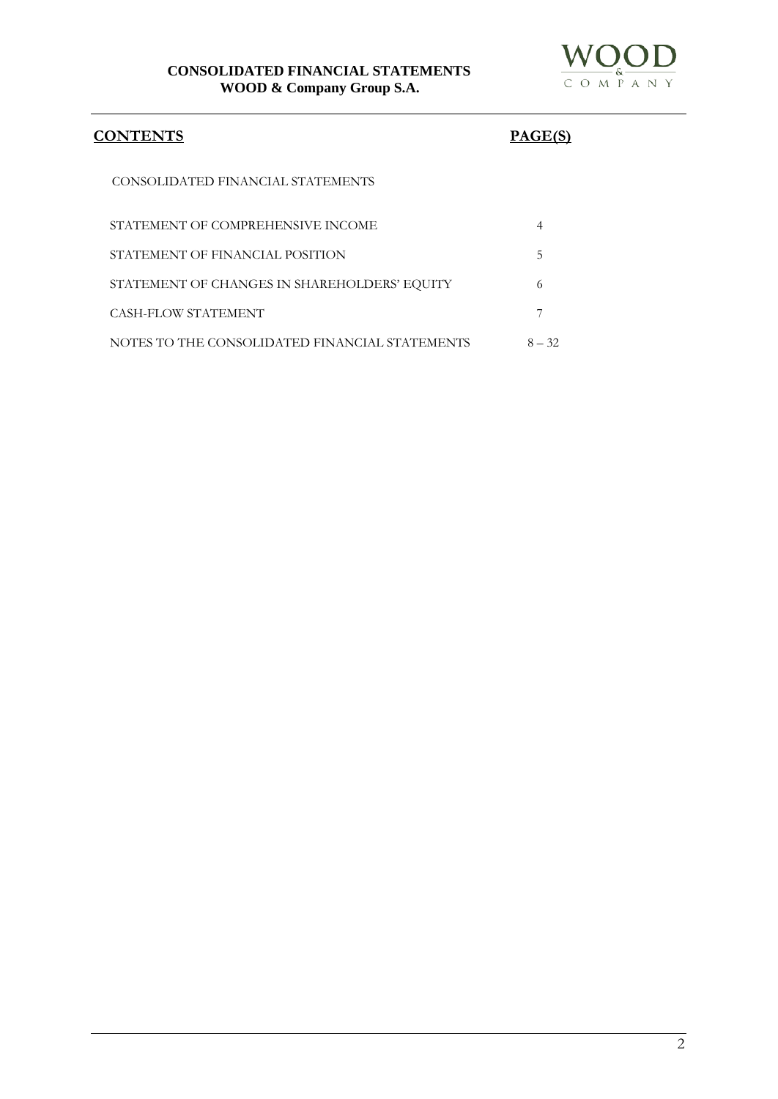

# **CONTENTS PAGE(S)**

CONSOLIDATED FINANCIAL STATEMENTS

| STATEMENT OF COMPREHENSIVE INCOME              |          |
|------------------------------------------------|----------|
| STATEMENT OF FINANCIAL POSITION                |          |
| STATEMENT OF CHANGES IN SHAREHOLDERS' EQUITY   |          |
| CASH-FLOW STATEMENT                            |          |
| NOTES TO THE CONSOLIDATED FINANCIAL STATEMENTS | $8 - 32$ |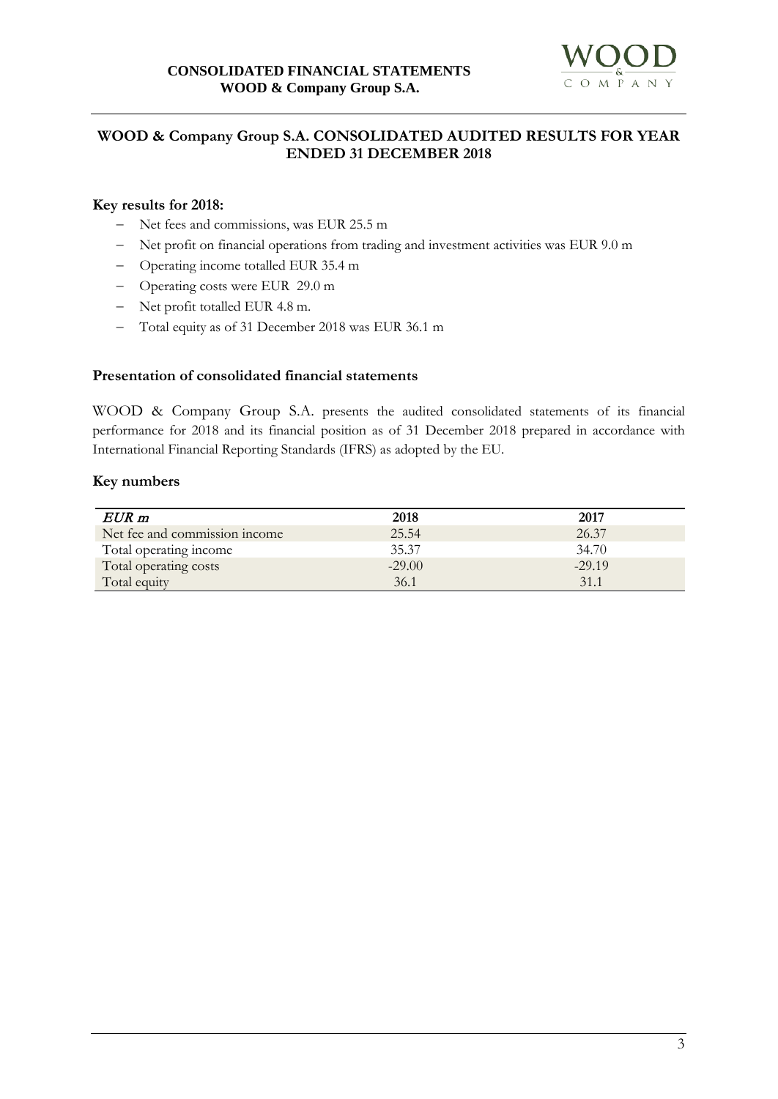

# **WOOD & Company Group S.A. CONSOLIDATED AUDITED RESULTS FOR YEAR ENDED 31 DECEMBER 2018**

# **Key results for 2018:**

- − Net fees and commissions, was EUR 25.5 m
- − Net profit on financial operations from trading and investment activities was EUR 9.0 m
- − Operating income totalled EUR 35.4 m
- − Operating costs were EUR 29.0 m
- − Net profit totalled EUR 4.8 m.
- − Total equity as of 31 December 2018 was EUR 36.1 m

#### **Presentation of consolidated financial statements**

WOOD & Company Group S.A. presents the audited consolidated statements of its financial performance for 2018 and its financial position as of 31 December 2018 prepared in accordance with International Financial Reporting Standards (IFRS) as adopted by the EU.

#### **Key numbers**

| $EUR$ m                       | 2018     | 2017     |
|-------------------------------|----------|----------|
| Net fee and commission income | 25.54    | 26.37    |
| Total operating income        | 35.37    | 34.70    |
| Total operating costs         | $-29.00$ | $-29.19$ |
| Total equity                  | 36.1     | 31.1     |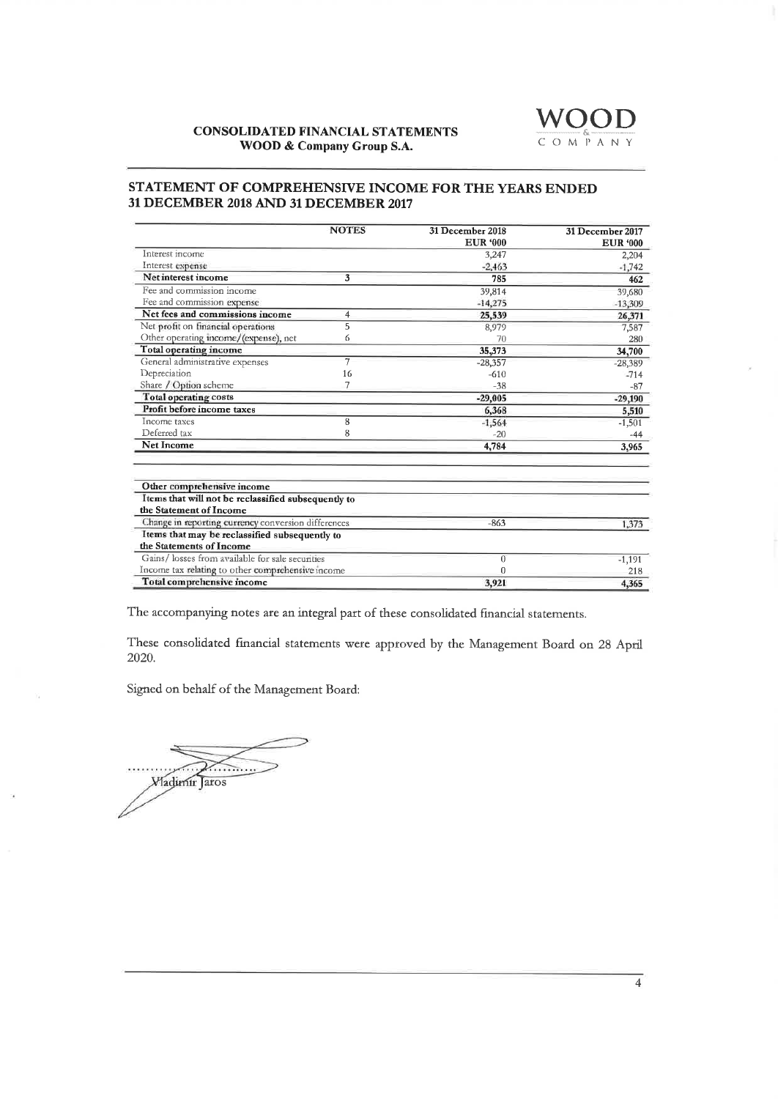#### **CONSOLIDATED FINANCIAL STATEMENTS** WOOD & Company Group S.A.



#### STATEMENT OF COMPREHENSIVE INCOME FOR THE YEARS ENDED 31 DECEMBER 2018 AND 31 DECEMBER 2017

|                                                                            | <b>NOTES</b>   | 31 December 2018 | 31 December 2017 |
|----------------------------------------------------------------------------|----------------|------------------|------------------|
|                                                                            |                | <b>EUR '000</b>  | <b>EUR '000</b>  |
| Interest income                                                            |                | 3,247            | 2,204            |
| Interest expense                                                           |                | $-2,463$         | $-1.742$         |
| Net interest income                                                        | 3              | 785              | 462              |
| Fee and commission income                                                  |                | 39,814           | 39,680           |
| Fee and commission expense                                                 |                | $-14,275$        | $-13,309$        |
| Net fees and commissions income                                            | $\overline{4}$ | 25,539           | 26,371           |
| Net profit on financial operations                                         | 5              | 8,979            | 7,587            |
| Other operating income/(expense), net                                      | 6              | 70               | 280              |
| Total operating income                                                     |                | 35.373           | 34,700           |
| General administrative expenses                                            | 7              | $-28,357$        | $-28,389$        |
| Depreciation                                                               | 16             | $-610$           | $-714$           |
| Share / Option scheme                                                      |                | $-38$            | $-87$            |
| Total operating costs                                                      |                | $-29,005$        | $-29,190$        |
| Profit before income taxes                                                 |                | 6,368            | 5,510            |
| Income taxes                                                               | 8              | $-1,564$         | $-1,501$         |
| Deferred tax                                                               | 8              | $-20$            | $-44$            |
| <b>Net Income</b>                                                          |                | 4,784            | 3,965            |
| Other comprehensive income                                                 |                |                  |                  |
| Items that will not be reclassified subsequently to                        |                |                  |                  |
| the Statement of Income                                                    |                |                  |                  |
| Change in reporting currency conversion differences                        |                | $-863$           | 1,373            |
| Items that may be reclassified subsequently to<br>the Statements of Income |                |                  |                  |
| Gains/losses from available for sale securities                            |                | $\overline{0}$   | $-1,191$         |
| Income tax relating to other comprehensive income                          |                | $\Omega$         | 218              |
| Total comprehensive income                                                 |                |                  |                  |

The accompanying notes are an integral part of these consolidated financial statements.

These consolidated financial statements were approved by the Management Board on 28 April 2020.

Signed on behalf of the Management Board:

 $\sim$   $\sim$ **Wladimir** Jaros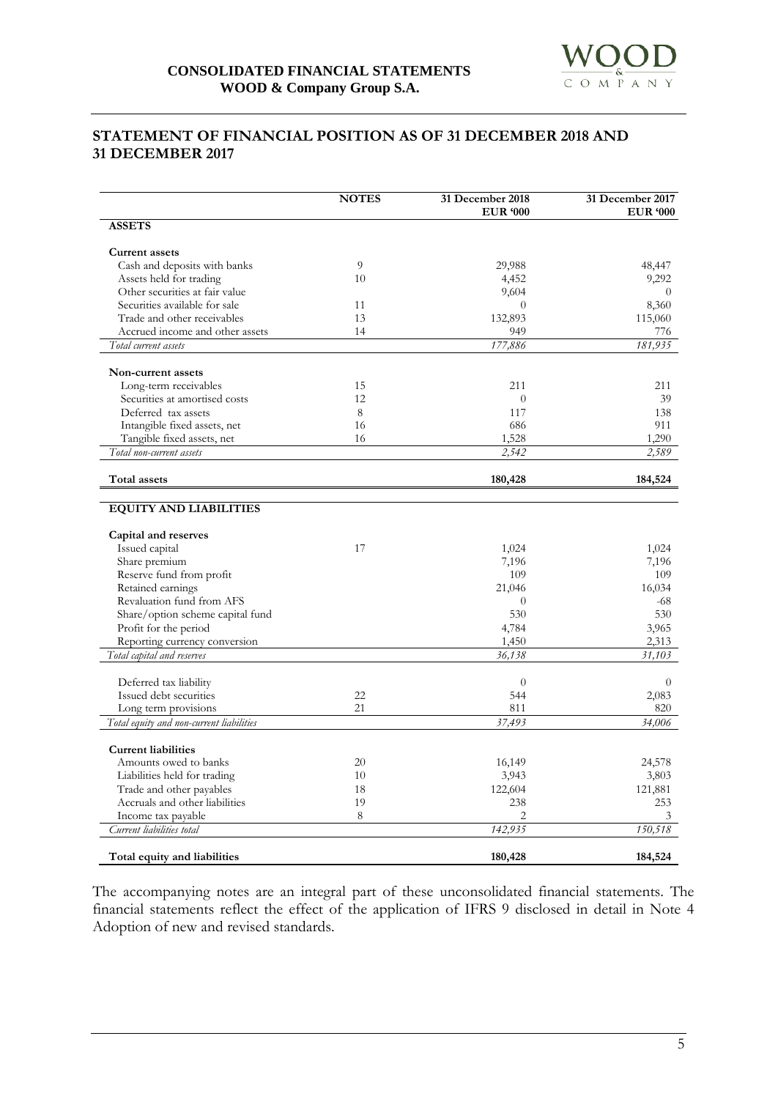# **STATEMENT OF FINANCIAL POSITION AS OF 31 DECEMBER 2018 AND 31 DECEMBER 2017**

|                                                            | <b>NOTES</b> | 31 December 2018<br><b>EUR '000</b> | 31 December 2017<br><b>EUR '000</b> |
|------------------------------------------------------------|--------------|-------------------------------------|-------------------------------------|
| <b>ASSETS</b>                                              |              |                                     |                                     |
| <b>Current assets</b>                                      |              |                                     |                                     |
| Cash and deposits with banks                               | 9            | 29,988                              | 48,447                              |
| Assets held for trading                                    | 10           | 4,452                               | 9,292                               |
| Other securities at fair value                             |              | 9,604                               | $\theta$                            |
| Securities available for sale                              | 11           | $\theta$                            | 8,360                               |
| Trade and other receivables                                | 13           | 132,893                             | 115,060                             |
| Accrued income and other assets                            | 14           | 949                                 | 776                                 |
| Total current assets                                       |              | 177,886                             | 181,935                             |
| Non-current assets                                         |              |                                     |                                     |
| Long-term receivables                                      | 15           | 211                                 | 211                                 |
| Securities at amortised costs                              | 12           | $\overline{0}$                      | 39                                  |
| Deferred tax assets                                        | 8            | 117                                 | 138                                 |
| Intangible fixed assets, net                               | 16           | 686                                 | 911                                 |
| Tangible fixed assets, net                                 | 16           | 1,528                               | 1,290                               |
| Total non-current assets                                   |              | 2,542                               | 2,589                               |
| Total assets                                               |              | 180,428                             | 184,524                             |
|                                                            |              |                                     |                                     |
| <b>EQUITY AND LIABILITIES</b>                              |              |                                     |                                     |
| Capital and reserves                                       |              |                                     |                                     |
| Issued capital                                             | 17           | 1,024                               | 1,024                               |
| Share premium                                              |              | 7,196                               | 7,196                               |
| Reserve fund from profit                                   |              | 109                                 | 109                                 |
| Retained earnings                                          |              | 21,046                              | 16,034                              |
| Revaluation fund from AFS                                  |              | $\overline{0}$                      | -68                                 |
| Share/option scheme capital fund                           |              | 530                                 | 530                                 |
| Profit for the period                                      |              | 4,784                               | 3,965                               |
| Reporting currency conversion                              |              | 1,450                               | 2,313                               |
| Total capital and reserves                                 |              | 36,138                              | 31,103                              |
| Deferred tax liability                                     |              | $\overline{0}$                      | $\overline{0}$                      |
| Issued debt securities                                     | 22           | 544                                 | 2,083                               |
| Long term provisions                                       | 21           | 811                                 | 820                                 |
| Total equity and non-current liabilities                   |              | 37,493                              | 34,006                              |
|                                                            |              |                                     |                                     |
| <b>Current liabilities</b><br>Amounts owed to banks        | 20           | 16,149                              | 24,578                              |
| Liabilities held for trading                               | 10           | 3,943                               | 3,803                               |
|                                                            | 18           |                                     |                                     |
| Trade and other payables<br>Accruals and other liabilities | 19           | 122,604<br>238                      | 121,881<br>253                      |
| Income tax payable                                         | 8            | $\overline{c}$                      | 3                                   |
| Current liabilities total                                  |              | 142,935                             | 150,518                             |
|                                                            |              |                                     |                                     |
| Total equity and liabilities                               |              | 180,428                             | 184,524                             |

The accompanying notes are an integral part of these unconsolidated financial statements. The financial statements reflect the effect of the application of IFRS 9 disclosed in detail in Note 4 Adoption of new and revised standards.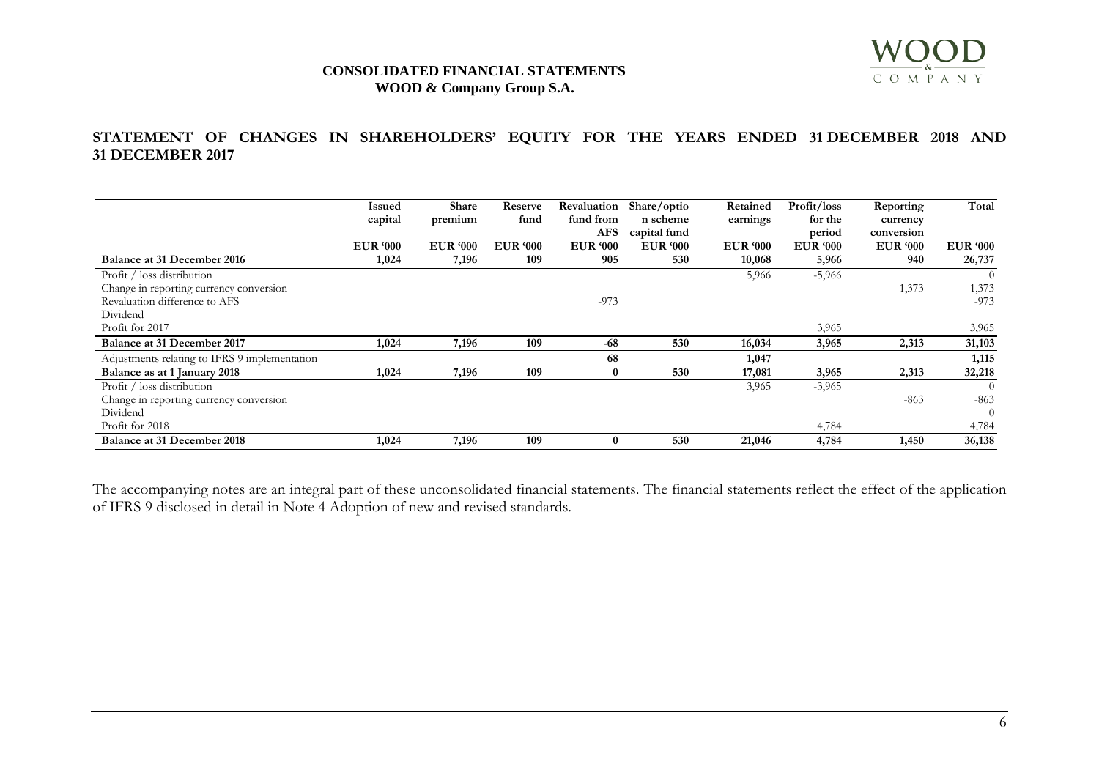

# **CONSOLIDATED FINANCIAL STATEMENTS WOOD & Company Group S.A.**

# **STATEMENT OF CHANGES IN SHAREHOLDERS' EQUITY FOR THE YEARS ENDED 31 DECEMBER 2018 AND 31 DECEMBER 2017**

|                                               | <b>Issued</b>   | Share           | Reserve         | Revaluation     | Share/optio     | Retained        | Profit/loss     | Reporting       | Total           |
|-----------------------------------------------|-----------------|-----------------|-----------------|-----------------|-----------------|-----------------|-----------------|-----------------|-----------------|
|                                               | capital         | premium         | fund            | fund from       | n scheme        | earnings        | for the         | currency        |                 |
|                                               |                 |                 |                 | AFS             | capital fund    |                 | period          | conversion      |                 |
|                                               | <b>EUR '000</b> | <b>EUR</b> '000 | <b>EUR '000</b> | <b>EUR '000</b> | <b>EUR '000</b> | <b>EUR</b> '000 | <b>EUR</b> '000 | <b>EUR '000</b> | <b>EUR '000</b> |
| Balance at 31 December 2016                   | 1,024           | 7,196           | 109             | 905             | 530             | 10,068          | 5,966           | 940             | 26,737          |
| Profit / loss distribution                    |                 |                 |                 |                 |                 | 5,966           | $-5,966$        |                 |                 |
| Change in reporting currency conversion       |                 |                 |                 |                 |                 |                 |                 | 1,373           | 1,373           |
| Revaluation difference to AFS                 |                 |                 |                 | $-973$          |                 |                 |                 |                 | $-973$          |
| Dividend                                      |                 |                 |                 |                 |                 |                 |                 |                 |                 |
| Profit for 2017                               |                 |                 |                 |                 |                 |                 | 3,965           |                 | 3,965           |
| Balance at 31 December 2017                   | 1,024           | 7,196           | 109             | $-68$           | 530             | 16,034          | 3,965           | 2,313           | 31,103          |
| Adjustments relating to IFRS 9 implementation |                 |                 |                 | 68              |                 | 1,047           |                 |                 | 1,115           |
| Balance as at 1 January 2018                  | 1,024           | 7,196           | 109             | 0               | 530             | 17,081          | 3,965           | 2,313           | 32,218          |
| Profit / loss distribution                    |                 |                 |                 |                 |                 | 3,965           | $-3,965$        |                 | $\Omega$        |
| Change in reporting currency conversion       |                 |                 |                 |                 |                 |                 |                 | $-863$          | $-863$          |
| Dividend                                      |                 |                 |                 |                 |                 |                 |                 |                 | $\Omega$        |
| Profit for 2018                               |                 |                 |                 |                 |                 |                 | 4,784           |                 | 4,784           |
| <b>Balance at 31 December 2018</b>            | 1,024           | 7,196           | 109             | 0               | 530             | 21,046          | 4,784           | 1,450           | 36,138          |

The accompanying notes are an integral part of these unconsolidated financial statements. The financial statements reflect the effect of the application of IFRS 9 disclosed in detail in Note 4 Adoption of new and revised standards.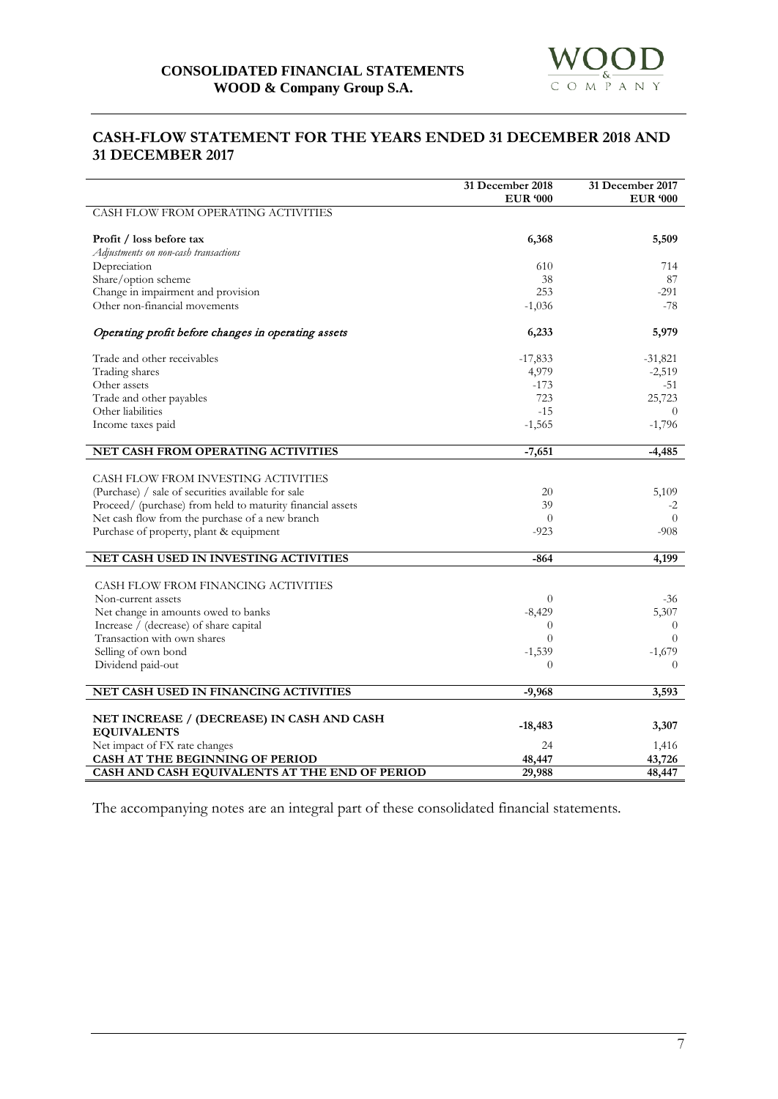

# **CASH-FLOW STATEMENT FOR THE YEARS ENDED 31 DECEMBER 2018 AND 31 DECEMBER 2017**

|                                                            | 31 December 2018<br><b>EUR '000</b> | 31 December 2017<br><b>EUR</b> '000 |
|------------------------------------------------------------|-------------------------------------|-------------------------------------|
| CASH FLOW FROM OPERATING ACTIVITIES                        |                                     |                                     |
| Profit / loss before tax                                   | 6,368                               | 5,509                               |
| Adjustments on non-cash transactions                       |                                     |                                     |
| Depreciation                                               | 610                                 | 714                                 |
| Share/option scheme                                        | 38                                  | 87                                  |
| Change in impairment and provision                         | 253                                 | $-291$                              |
| Other non-financial movements                              | $-1,036$                            | $-78$                               |
| Operating profit before changes in operating assets        | 6,233                               | 5,979                               |
| Trade and other receivables                                | $-17,833$                           | $-31,821$                           |
| Trading shares                                             | 4,979                               | $-2,519$                            |
| Other assets                                               | $-173$                              | -51                                 |
| Trade and other payables                                   | 723                                 | 25,723                              |
| Other liabilities                                          | $-15$                               | $\theta$                            |
| Income taxes paid                                          | $-1,565$                            | $-1,796$                            |
| NET CASH FROM OPERATING ACTIVITIES                         | $-7,651$                            | $-4,485$                            |
|                                                            |                                     |                                     |
| CASH FLOW FROM INVESTING ACTIVITIES                        |                                     |                                     |
| (Purchase) / sale of securities available for sale         | 20                                  | 5,109                               |
| Proceed/ (purchase) from held to maturity financial assets | 39                                  | $-2$                                |
| Net cash flow from the purchase of a new branch            | $\Omega$                            | $\Omega$                            |
| Purchase of property, plant & equipment                    | $-923$                              | $-908$                              |
| NET CASH USED IN INVESTING ACTIVITIES                      | $-864$                              | 4,199                               |
| CASH FLOW FROM FINANCING ACTIVITIES                        |                                     |                                     |
| Non-current assets                                         | $\theta$                            | $-36$                               |
| Net change in amounts owed to banks                        | $-8,429$                            | 5,307                               |
| Increase / (decrease) of share capital                     | $\theta$                            | $\theta$                            |
| Transaction with own shares                                | $\Omega$                            | $\overline{0}$                      |
| Selling of own bond                                        | $-1,539$                            | $-1,679$                            |
| Dividend paid-out                                          | $\Omega$                            | $\Omega$                            |
|                                                            |                                     |                                     |
| NET CASH USED IN FINANCING ACTIVITIES                      | $-9,968$                            | 3,593                               |
| NET INCREASE / (DECREASE) IN CASH AND CASH                 |                                     |                                     |
| <b>EQUIVALENTS</b>                                         | $-18,483$                           | 3,307                               |
| Net impact of FX rate changes                              | 24                                  | 1,416                               |
| CASH AT THE BEGINNING OF PERIOD                            | 48,447                              | 43,726                              |
| CASH AND CASH EQUIVALENTS AT THE END OF PERIOD             | 29,988                              | 48,447                              |

The accompanying notes are an integral part of these consolidated financial statements.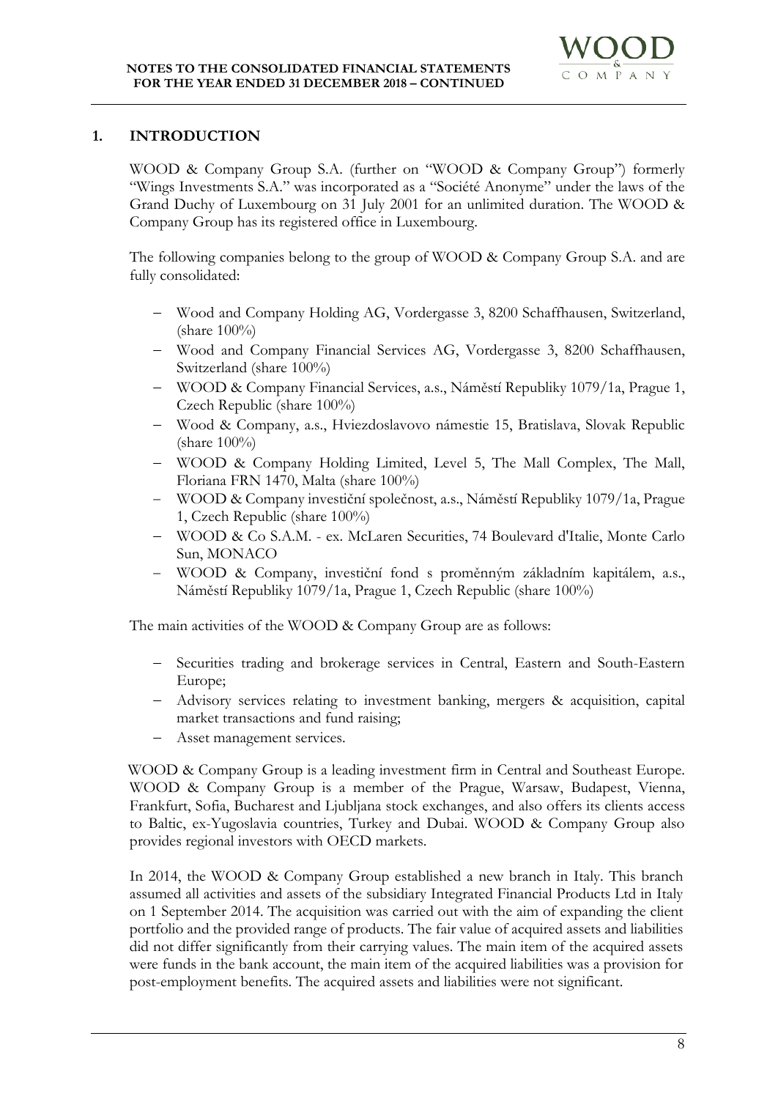# **1. INTRODUCTION**

WOOD & Company Group S.A. (further on "WOOD & Company Group") formerly "Wings Investments S.A." was incorporated as a "Société Anonyme" under the laws of the Grand Duchy of Luxembourg on 31 July 2001 for an unlimited duration. The WOOD & Company Group has its registered office in Luxembourg.

The following companies belong to the group of WOOD & Company Group S.A. and are fully consolidated:

- − Wood and Company Holding AG, Vordergasse 3, 8200 Schaffhausen, Switzerland, (share 100%)
- − Wood and Company Financial Services AG, Vordergasse 3, 8200 Schaffhausen, Switzerland (share 100%)
- − WOOD & Company Financial Services, a.s., Náměstí Republiky 1079/1a, Prague 1, Czech Republic (share 100%)
- − Wood & Company, a.s., Hviezdoslavovo námestie 15, Bratislava, Slovak Republic (share 100%)
- − WOOD & Company Holding Limited, Level 5, The Mall Complex, The Mall, Floriana FRN 1470, Malta (share 100%)
- − WOOD & Company investiční společnost, a.s., Náměstí Republiky 1079/1a, Prague 1, Czech Republic (share 100%)
- − WOOD & Co S.A.M. ex. McLaren Securities, 74 Boulevard d'Italie, Monte Carlo Sun, MONACO
- WOOD & Company, investiční fond s proměnným základním kapitálem, a.s., Náměstí Republiky 1079/1a, Prague 1, Czech Republic (share 100%)

The main activities of the WOOD & Company Group are as follows:

- − Securities trading and brokerage services in Central, Eastern and South-Eastern Europe;
- − Advisory services relating to investment banking, mergers & acquisition, capital market transactions and fund raising;
- Asset management services.

WOOD & Company Group is a leading investment firm in Central and Southeast Europe. WOOD & Company Group is a member of the Prague, Warsaw, Budapest, Vienna, Frankfurt, Sofia, Bucharest and Ljubljana stock exchanges, and also offers its clients access to Baltic, ex-Yugoslavia countries, Turkey and Dubai. WOOD & Company Group also provides regional investors with OECD markets.

In 2014, the WOOD & Company Group established a new branch in Italy. This branch assumed all activities and assets of the subsidiary Integrated Financial Products Ltd in Italy on 1 September 2014. The acquisition was carried out with the aim of expanding the client portfolio and the provided range of products. The fair value of acquired assets and liabilities did not differ significantly from their carrying values. The main item of the acquired assets were funds in the bank account, the main item of the acquired liabilities was a provision for post-employment benefits. The acquired assets and liabilities were not significant.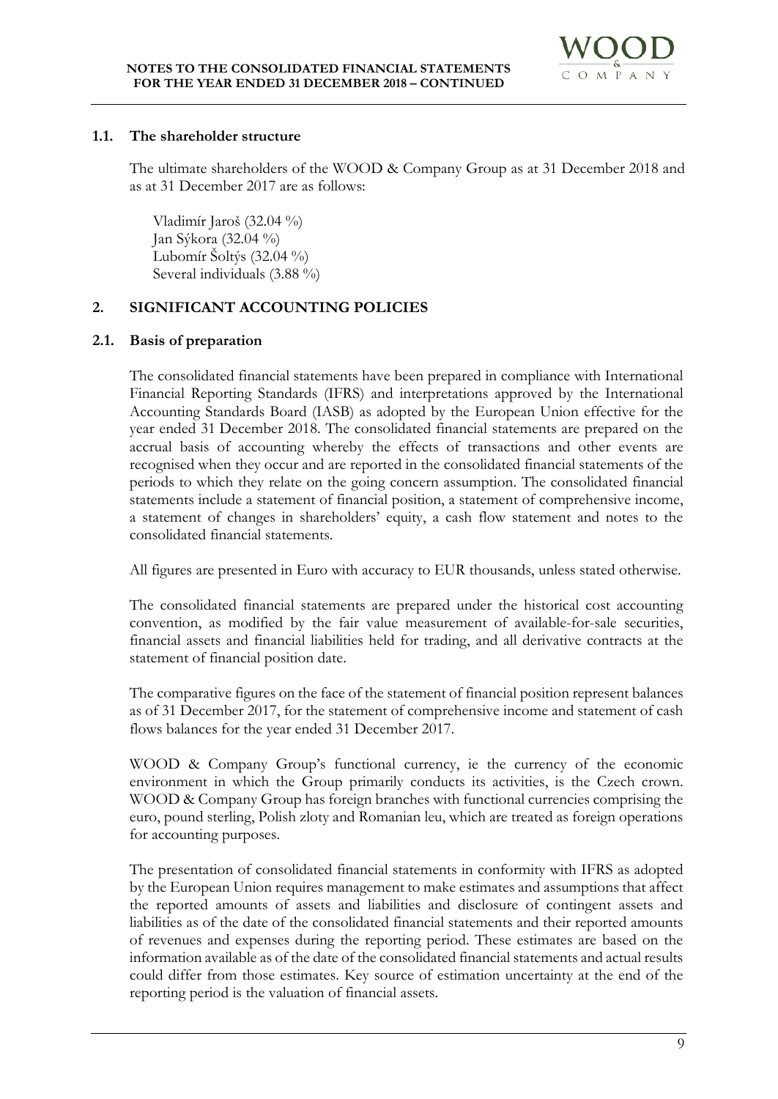

#### **1.1. The shareholder structure**

The ultimate shareholders of the WOOD & Company Group as at 31 December 2018 and as at 31 December 2017 are as follows:

Vladimír Jaroš (32.04 %) Jan Sýkora (32.04 %) Lubomír Šoltýs  $(32.04\frac{9}{0})$ Several individuals (3.88 %)

# **2. SIGNIFICANT ACCOUNTING POLICIES**

# **2.1. Basis of preparation**

The consolidated financial statements have been prepared in compliance with International Financial Reporting Standards (IFRS) and interpretations approved by the International Accounting Standards Board (IASB) as adopted by the European Union effective for the year ended 31 December 2018. The consolidated financial statements are prepared on the accrual basis of accounting whereby the effects of transactions and other events are recognised when they occur and are reported in the consolidated financial statements of the periods to which they relate on the going concern assumption. The consolidated financial statements include a statement of financial position, a statement of comprehensive income, a statement of changes in shareholders' equity, a cash flow statement and notes to the consolidated financial statements.

All figures are presented in Euro with accuracy to EUR thousands, unless stated otherwise.

The consolidated financial statements are prepared under the historical cost accounting convention, as modified by the fair value measurement of available-for-sale securities, financial assets and financial liabilities held for trading, and all derivative contracts at the statement of financial position date.

The comparative figures on the face of the statement of financial position represent balances as of 31 December 2017, for the statement of comprehensive income and statement of cash flows balances for the year ended 31 December 2017.

WOOD & Company Group's functional currency, ie the currency of the economic environment in which the Group primarily conducts its activities, is the Czech crown. WOOD & Company Group has foreign branches with functional currencies comprising the euro, pound sterling, Polish zloty and Romanian leu, which are treated as foreign operations for accounting purposes.

The presentation of consolidated financial statements in conformity with IFRS as adopted by the European Union requires management to make estimates and assumptions that affect the reported amounts of assets and liabilities and disclosure of contingent assets and liabilities as of the date of the consolidated financial statements and their reported amounts of revenues and expenses during the reporting period. These estimates are based on the information available as of the date of the consolidated financial statements and actual results could differ from those estimates. Key source of estimation uncertainty at the end of the reporting period is the valuation of financial assets.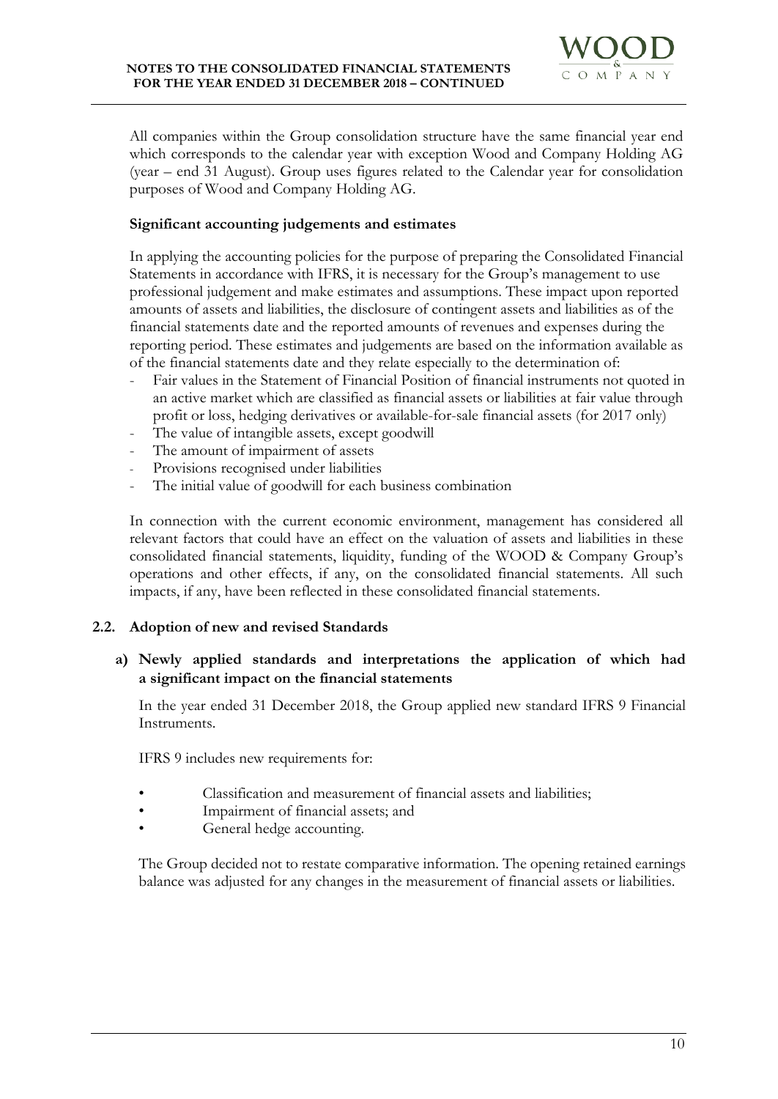

All companies within the Group consolidation structure have the same financial year end which corresponds to the calendar year with exception Wood and Company Holding AG (year – end 31 August). Group uses figures related to the Calendar year for consolidation purposes of Wood and Company Holding AG.

# **Significant accounting judgements and estimates**

In applying the accounting policies for the purpose of preparing the Consolidated Financial Statements in accordance with IFRS, it is necessary for the Group's management to use professional judgement and make estimates and assumptions. These impact upon reported amounts of assets and liabilities, the disclosure of contingent assets and liabilities as of the financial statements date and the reported amounts of revenues and expenses during the reporting period. These estimates and judgements are based on the information available as of the financial statements date and they relate especially to the determination of:

- Fair values in the Statement of Financial Position of financial instruments not quoted in an active market which are classified as financial assets or liabilities at fair value through profit or loss, hedging derivatives or available-for-sale financial assets (for 2017 only)
- The value of intangible assets, except goodwill
- The amount of impairment of assets
- Provisions recognised under liabilities
- The initial value of goodwill for each business combination

In connection with the current economic environment, management has considered all relevant factors that could have an effect on the valuation of assets and liabilities in these consolidated financial statements, liquidity, funding of the WOOD & Company Group's operations and other effects, if any, on the consolidated financial statements. All such impacts, if any, have been reflected in these consolidated financial statements.

# **2.2. Adoption of new and revised Standards**

# **a) Newly applied standards and interpretations the application of which had a significant impact on the financial statements**

In the year ended 31 December 2018, the Group applied new standard IFRS 9 Financial Instruments.

IFRS 9 includes new requirements for:

- Classification and measurement of financial assets and liabilities;
- Impairment of financial assets; and
- General hedge accounting.

The Group decided not to restate comparative information. The opening retained earnings balance was adjusted for any changes in the measurement of financial assets or liabilities.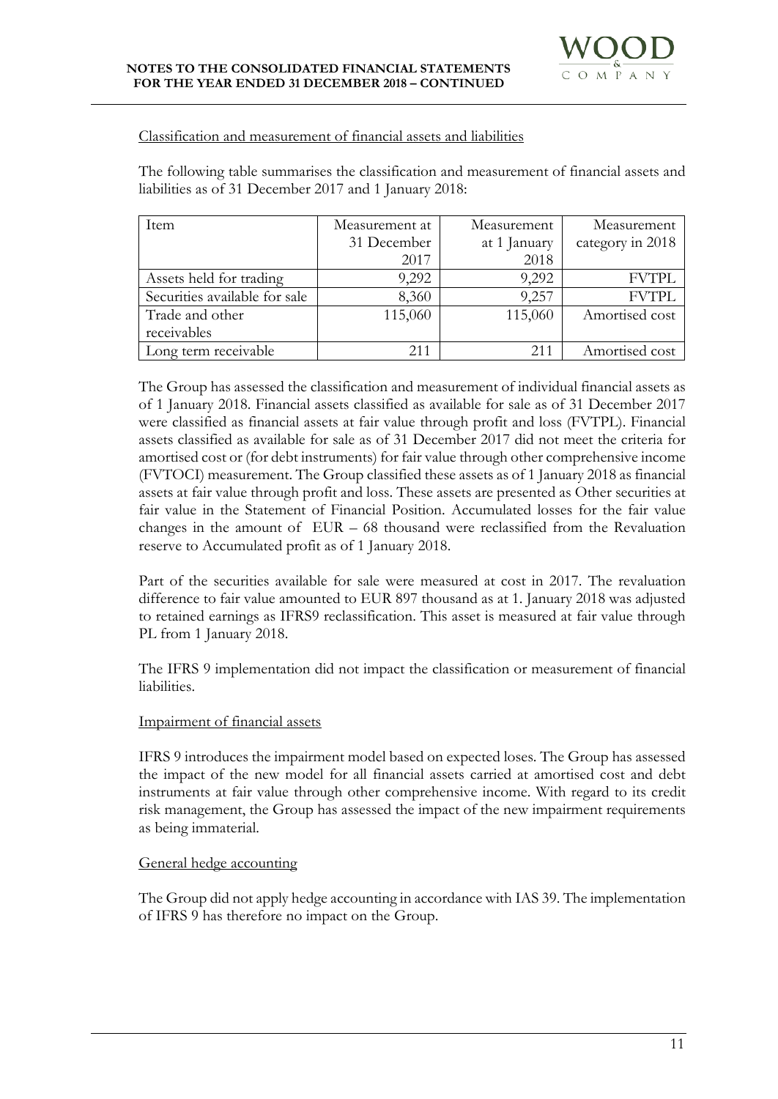#### Classification and measurement of financial assets and liabilities

The following table summarises the classification and measurement of financial assets and liabilities as of 31 December 2017 and 1 January 2018:

| Item                          | Measurement at | Measurement  | Measurement      |
|-------------------------------|----------------|--------------|------------------|
|                               | 31 December    | at 1 January | category in 2018 |
|                               | 2017           | 2018         |                  |
| Assets held for trading       | 9,292          | 9,292        | <b>FVTPL</b>     |
| Securities available for sale | 8,360          | 9,257        | <b>FVTPL</b>     |
| Trade and other               | 115,060        | 115,060      | Amortised cost   |
| receivables                   |                |              |                  |
| Long term receivable          | 211            | 211          | Amortised cost   |

The Group has assessed the classification and measurement of individual financial assets as of 1 January 2018. Financial assets classified as available for sale as of 31 December 2017 were classified as financial assets at fair value through profit and loss (FVTPL). Financial assets classified as available for sale as of 31 December 2017 did not meet the criteria for amortised cost or (for debt instruments) for fair value through other comprehensive income (FVTOCI) measurement. The Group classified these assets as of 1 January 2018 as financial assets at fair value through profit and loss. These assets are presented as Other securities at fair value in the Statement of Financial Position. Accumulated losses for the fair value changes in the amount of EUR – 68 thousand were reclassified from the Revaluation reserve to Accumulated profit as of 1 January 2018.

Part of the securities available for sale were measured at cost in 2017. The revaluation difference to fair value amounted to EUR 897 thousand as at 1. January 2018 was adjusted to retained earnings as IFRS9 reclassification. This asset is measured at fair value through PL from 1 January 2018.

The IFRS 9 implementation did not impact the classification or measurement of financial liabilities.

#### Impairment of financial assets

IFRS 9 introduces the impairment model based on expected loses. The Group has assessed the impact of the new model for all financial assets carried at amortised cost and debt instruments at fair value through other comprehensive income. With regard to its credit risk management, the Group has assessed the impact of the new impairment requirements as being immaterial.

# General hedge accounting

The Group did not apply hedge accounting in accordance with IAS 39. The implementation of IFRS 9 has therefore no impact on the Group.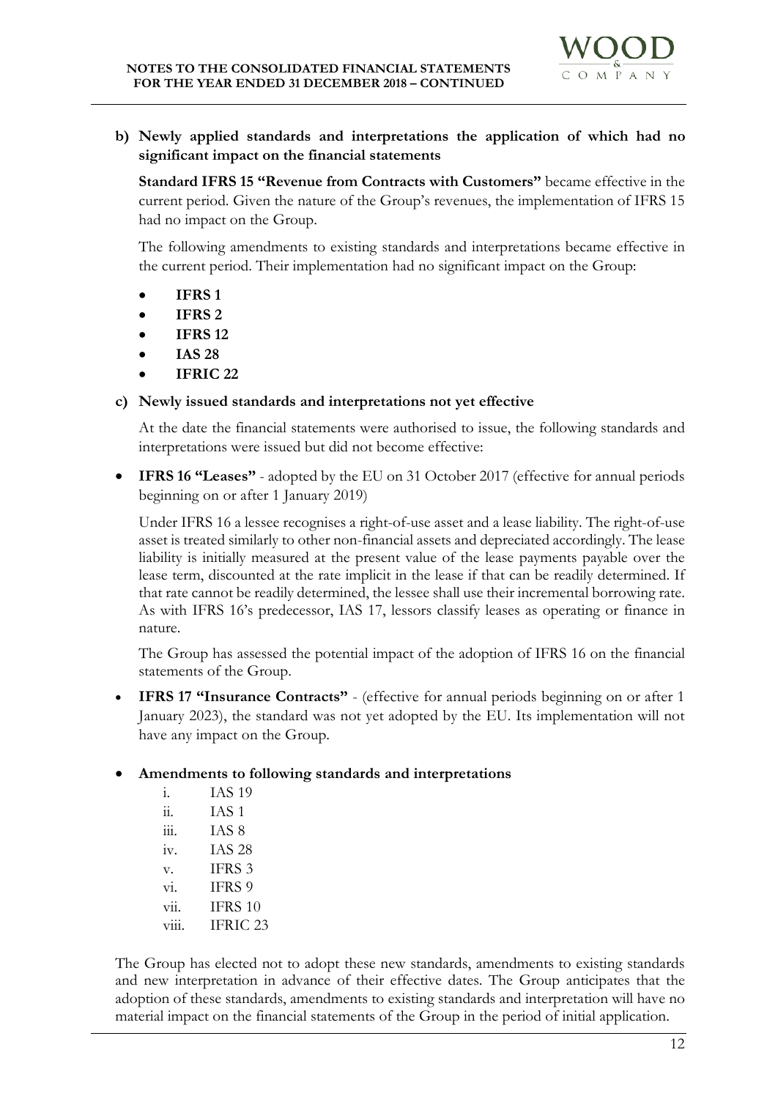

**b) Newly applied standards and interpretations the application of which had no significant impact on the financial statements** 

**Standard IFRS 15 "Revenue from Contracts with Customers"** became effective in the current period. Given the nature of the Group's revenues, the implementation of IFRS 15 had no impact on the Group.

The following amendments to existing standards and interpretations became effective in the current period. Their implementation had no significant impact on the Group:

- **IFRS 1**
- **IFRS 2**
- **IFRS 12**
- **IAS 28**
- **IFRIC 22**

# **c) Newly issued standards and interpretations not yet effective**

At the date the financial statements were authorised to issue, the following standards and interpretations were issued but did not become effective:

• **IFRS 16 "Leases"** - adopted by the EU on 31 October 2017 (effective for annual periods beginning on or after 1 January 2019)

Under IFRS 16 a lessee recognises a right-of-use asset and a lease liability. The right-of-use asset is treated similarly to other non-financial assets and depreciated accordingly. The lease liability is initially measured at the present value of the lease payments payable over the lease term, discounted at the rate implicit in the lease if that can be readily determined. If that rate cannot be readily determined, the lessee shall use their incremental borrowing rate. As with IFRS 16's predecessor, IAS 17, lessors classify leases as operating or finance in nature.

The Group has assessed the potential impact of the adoption of IFRS 16 on the financial statements of the Group.

• **IFRS 17 "Insurance Contracts"** - (effective for annual periods beginning on or after 1 January 2023), the standard was not yet adopted by the EU. Its implementation will not have any impact on the Group.

# • **Amendments to following standards and interpretations**

| i.                         | <b>IAS 19</b>     |
|----------------------------|-------------------|
| ii.                        | IAS <sub>1</sub>  |
| iii.                       | IAS 8             |
| iv.                        | <b>IAS 28</b>     |
| V.                         | IFRS <sub>3</sub> |
| $\overline{\mathrm{vi}}$ . | IFRS 9            |
| $\overline{\text{vii}}$ .  | IFRS 10           |
| V111                       | IFRIC 23          |

The Group has elected not to adopt these new standards, amendments to existing standards and new interpretation in advance of their effective dates. The Group anticipates that the adoption of these standards, amendments to existing standards and interpretation will have no material impact on the financial statements of the Group in the period of initial application.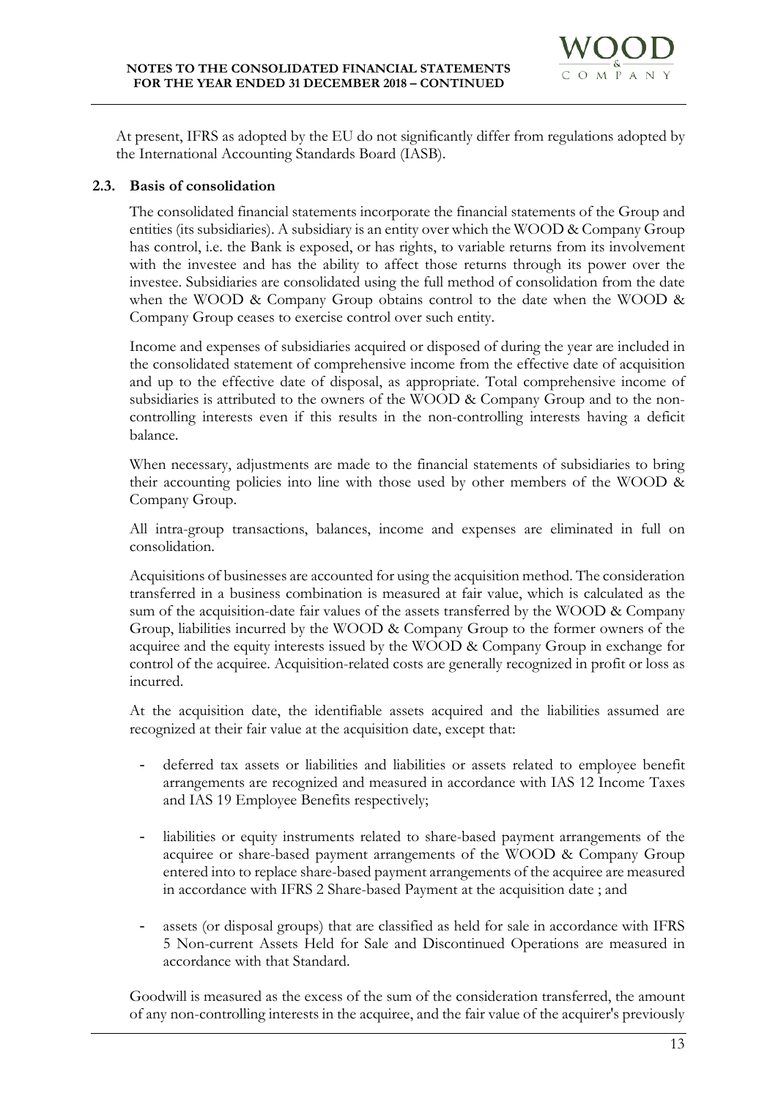

At present, IFRS as adopted by the EU do not significantly differ from regulations adopted by the International Accounting Standards Board (IASB).

# **2.3. Basis of consolidation**

The consolidated financial statements incorporate the financial statements of the Group and entities (its subsidiaries). A subsidiary is an entity over which the WOOD & Company Group has control, i.e. the Bank is exposed, or has rights, to variable returns from its involvement with the investee and has the ability to affect those returns through its power over the investee. Subsidiaries are consolidated using the full method of consolidation from the date when the WOOD & Company Group obtains control to the date when the WOOD & Company Group ceases to exercise control over such entity.

Income and expenses of subsidiaries acquired or disposed of during the year are included in the consolidated statement of comprehensive income from the effective date of acquisition and up to the effective date of disposal, as appropriate. Total comprehensive income of subsidiaries is attributed to the owners of the WOOD & Company Group and to the noncontrolling interests even if this results in the non-controlling interests having a deficit balance.

When necessary, adjustments are made to the financial statements of subsidiaries to bring their accounting policies into line with those used by other members of the WOOD & Company Group.

All intra-group transactions, balances, income and expenses are eliminated in full on consolidation.

Acquisitions of businesses are accounted for using the acquisition method. The consideration transferred in a business combination is measured at fair value, which is calculated as the sum of the acquisition-date fair values of the assets transferred by the WOOD & Company Group, liabilities incurred by the WOOD & Company Group to the former owners of the acquiree and the equity interests issued by the WOOD & Company Group in exchange for control of the acquiree. Acquisition-related costs are generally recognized in profit or loss as incurred.

At the acquisition date, the identifiable assets acquired and the liabilities assumed are recognized at their fair value at the acquisition date, except that:

- deferred tax assets or liabilities and liabilities or assets related to employee benefit arrangements are recognized and measured in accordance with IAS 12 Income Taxes and IAS 19 Employee Benefits respectively;
- liabilities or equity instruments related to share-based payment arrangements of the acquiree or share-based payment arrangements of the WOOD & Company Group entered into to replace share-based payment arrangements of the acquiree are measured in accordance with IFRS 2 Share-based Payment at the acquisition date ; and
- assets (or disposal groups) that are classified as held for sale in accordance with IFRS 5 Non-current Assets Held for Sale and Discontinued Operations are measured in accordance with that Standard.

Goodwill is measured as the excess of the sum of the consideration transferred, the amount of any non-controlling interests in the acquiree, and the fair value of the acquirer's previously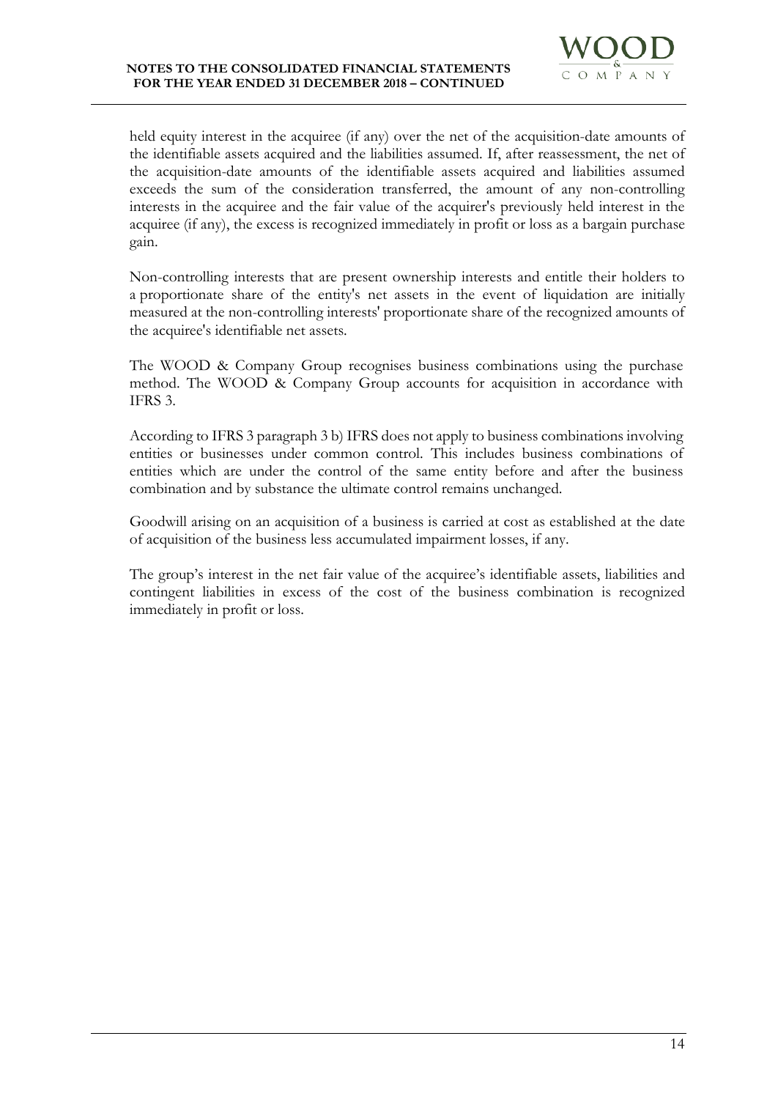

held equity interest in the acquiree (if any) over the net of the acquisition-date amounts of the identifiable assets acquired and the liabilities assumed. If, after reassessment, the net of the acquisition-date amounts of the identifiable assets acquired and liabilities assumed exceeds the sum of the consideration transferred, the amount of any non-controlling interests in the acquiree and the fair value of the acquirer's previously held interest in the acquiree (if any), the excess is recognized immediately in profit or loss as a bargain purchase gain.

Non-controlling interests that are present ownership interests and entitle their holders to a proportionate share of the entity's net assets in the event of liquidation are initially measured at the non-controlling interests' proportionate share of the recognized amounts of the acquiree's identifiable net assets.

The WOOD & Company Group recognises business combinations using the purchase method. The WOOD & Company Group accounts for acquisition in accordance with IFRS 3.

According to IFRS 3 paragraph 3 b) IFRS does not apply to business combinations involving entities or businesses under common control. This includes business combinations of entities which are under the control of the same entity before and after the business combination and by substance the ultimate control remains unchanged.

Goodwill arising on an acquisition of a business is carried at cost as established at the date of acquisition of the business less accumulated impairment losses, if any.

The group's interest in the net fair value of the acquiree's identifiable assets, liabilities and contingent liabilities in excess of the cost of the business combination is recognized immediately in profit or loss.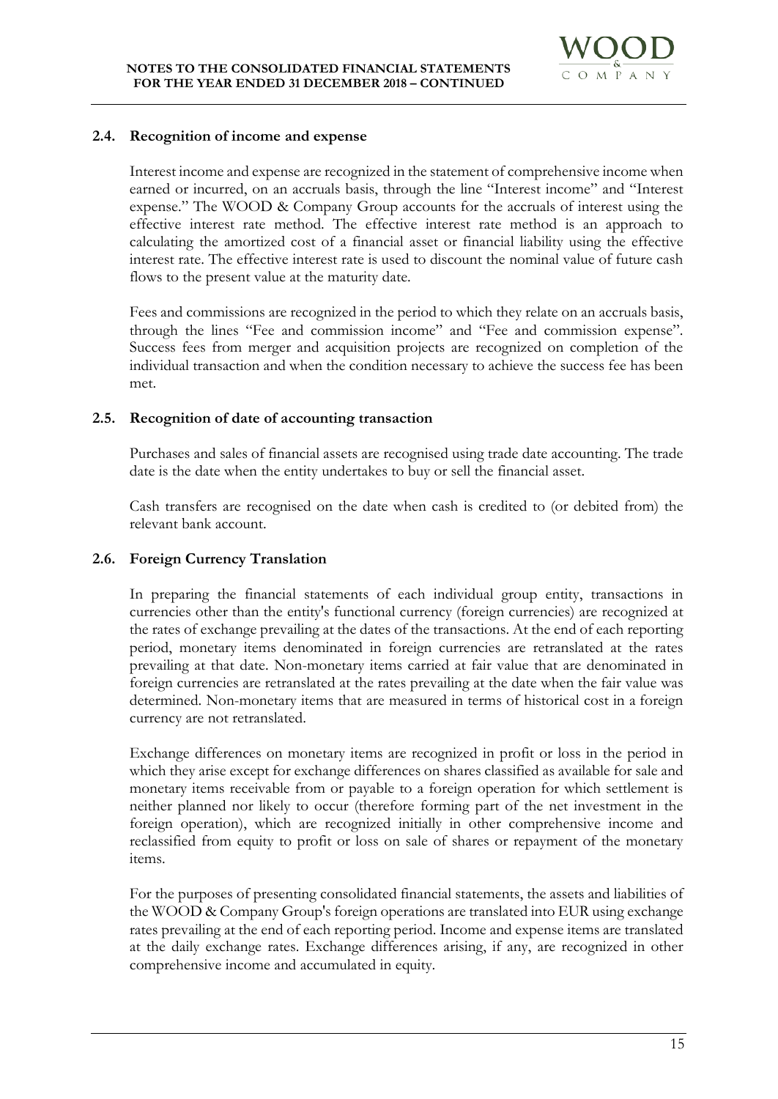

#### **2.4. Recognition of income and expense**

Interest income and expense are recognized in the statement of comprehensive income when earned or incurred, on an accruals basis, through the line "Interest income" and "Interest expense." The WOOD & Company Group accounts for the accruals of interest using the effective interest rate method. The effective interest rate method is an approach to calculating the amortized cost of a financial asset or financial liability using the effective interest rate. The effective interest rate is used to discount the nominal value of future cash flows to the present value at the maturity date.

Fees and commissions are recognized in the period to which they relate on an accruals basis, through the lines "Fee and commission income" and "Fee and commission expense". Success fees from merger and acquisition projects are recognized on completion of the individual transaction and when the condition necessary to achieve the success fee has been met.

#### **2.5. Recognition of date of accounting transaction**

Purchases and sales of financial assets are recognised using trade date accounting. The trade date is the date when the entity undertakes to buy or sell the financial asset.

Cash transfers are recognised on the date when cash is credited to (or debited from) the relevant bank account.

# **2.6. Foreign Currency Translation**

In preparing the financial statements of each individual group entity, transactions in currencies other than the entity's functional currency (foreign currencies) are recognized at the rates of exchange prevailing at the dates of the transactions. At the end of each reporting period, monetary items denominated in foreign currencies are retranslated at the rates prevailing at that date. Non-monetary items carried at fair value that are denominated in foreign currencies are retranslated at the rates prevailing at the date when the fair value was determined. Non-monetary items that are measured in terms of historical cost in a foreign currency are not retranslated.

Exchange differences on monetary items are recognized in profit or loss in the period in which they arise except for exchange differences on shares classified as available for sale and monetary items receivable from or payable to a foreign operation for which settlement is neither planned nor likely to occur (therefore forming part of the net investment in the foreign operation), which are recognized initially in other comprehensive income and reclassified from equity to profit or loss on sale of shares or repayment of the monetary items.

For the purposes of presenting consolidated financial statements, the assets and liabilities of the WOOD & Company Group's foreign operations are translated into EUR using exchange rates prevailing at the end of each reporting period. Income and expense items are translated at the daily exchange rates. Exchange differences arising, if any, are recognized in other comprehensive income and accumulated in equity.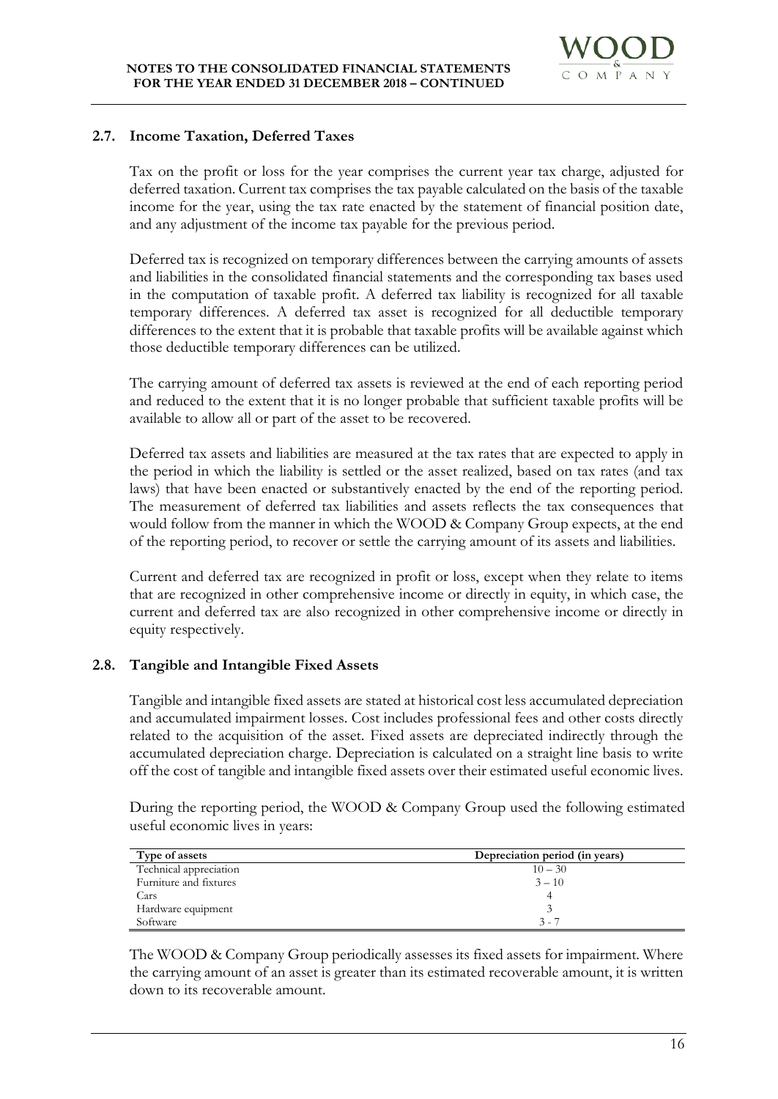

# **2.7. Income Taxation, Deferred Taxes**

Tax on the profit or loss for the year comprises the current year tax charge, adjusted for deferred taxation. Current tax comprises the tax payable calculated on the basis of the taxable income for the year, using the tax rate enacted by the statement of financial position date, and any adjustment of the income tax payable for the previous period.

Deferred tax is recognized on temporary differences between the carrying amounts of assets and liabilities in the consolidated financial statements and the corresponding tax bases used in the computation of taxable profit. A deferred tax liability is recognized for all taxable temporary differences. A deferred tax asset is recognized for all deductible temporary differences to the extent that it is probable that taxable profits will be available against which those deductible temporary differences can be utilized.

The carrying amount of deferred tax assets is reviewed at the end of each reporting period and reduced to the extent that it is no longer probable that sufficient taxable profits will be available to allow all or part of the asset to be recovered.

Deferred tax assets and liabilities are measured at the tax rates that are expected to apply in the period in which the liability is settled or the asset realized, based on tax rates (and tax laws) that have been enacted or substantively enacted by the end of the reporting period. The measurement of deferred tax liabilities and assets reflects the tax consequences that would follow from the manner in which the WOOD & Company Group expects, at the end of the reporting period, to recover or settle the carrying amount of its assets and liabilities.

Current and deferred tax are recognized in profit or loss, except when they relate to items that are recognized in other comprehensive income or directly in equity, in which case, the current and deferred tax are also recognized in other comprehensive income or directly in equity respectively.

# **2.8. Tangible and Intangible Fixed Assets**

Tangible and intangible fixed assets are stated at historical cost less accumulated depreciation and accumulated impairment losses. Cost includes professional fees and other costs directly related to the acquisition of the asset. Fixed assets are depreciated indirectly through the accumulated depreciation charge. Depreciation is calculated on a straight line basis to write off the cost of tangible and intangible fixed assets over their estimated useful economic lives.

During the reporting period, the WOOD & Company Group used the following estimated useful economic lives in years:

| Type of assets         | Depreciation period (in years) |
|------------------------|--------------------------------|
| Technical appreciation | $10 - 30$                      |
| Furniture and fixtures | $3 - 10$                       |
| Cars                   | 4                              |
| Hardware equipment     |                                |
| Software               | $3 - 7$                        |

The WOOD & Company Group periodically assesses its fixed assets for impairment. Where the carrying amount of an asset is greater than its estimated recoverable amount, it is written down to its recoverable amount.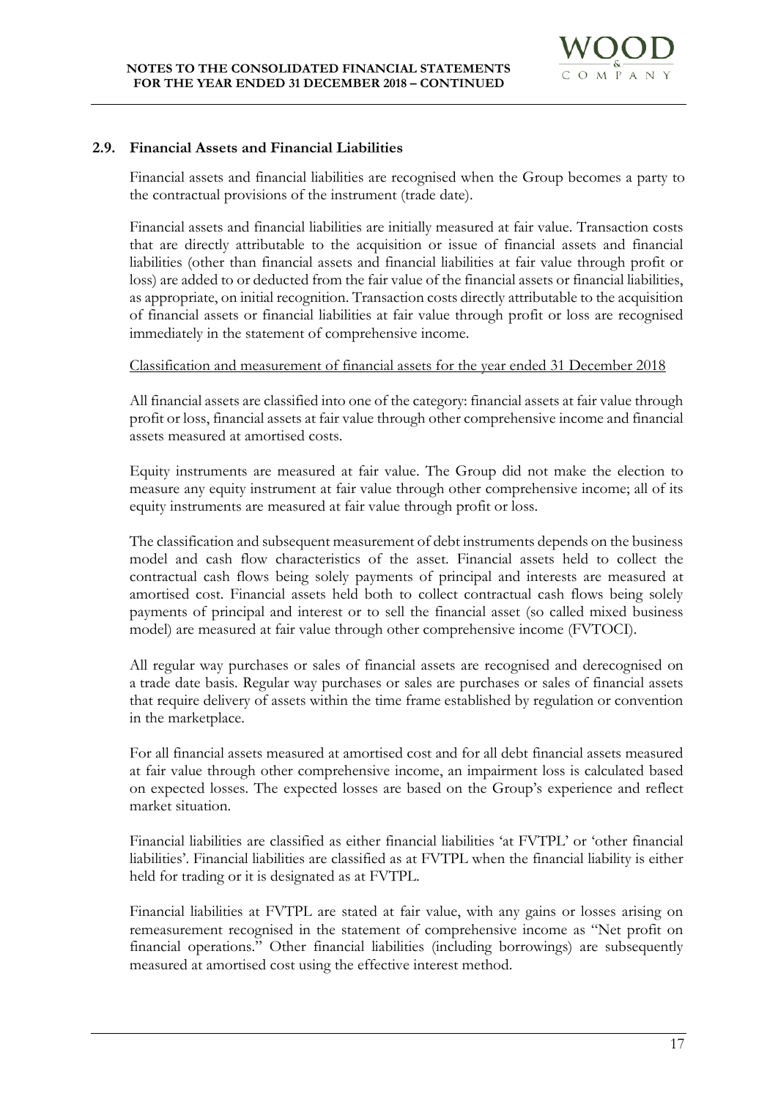

#### **2.9. Financial Assets and Financial Liabilities**

Financial assets and financial liabilities are recognised when the Group becomes a party to the contractual provisions of the instrument (trade date).

Financial assets and financial liabilities are initially measured at fair value. Transaction costs that are directly attributable to the acquisition or issue of financial assets and financial liabilities (other than financial assets and financial liabilities at fair value through profit or loss) are added to or deducted from the fair value of the financial assets or financial liabilities, as appropriate, on initial recognition. Transaction costs directly attributable to the acquisition of financial assets or financial liabilities at fair value through profit or loss are recognised immediately in the statement of comprehensive income.

#### Classification and measurement of financial assets for the year ended 31 December 2018

All financial assets are classified into one of the category: financial assets at fair value through profit or loss, financial assets at fair value through other comprehensive income and financial assets measured at amortised costs.

Equity instruments are measured at fair value. The Group did not make the election to measure any equity instrument at fair value through other comprehensive income; all of its equity instruments are measured at fair value through profit or loss.

The classification and subsequent measurement of debt instruments depends on the business model and cash flow characteristics of the asset. Financial assets held to collect the contractual cash flows being solely payments of principal and interests are measured at amortised cost. Financial assets held both to collect contractual cash flows being solely payments of principal and interest or to sell the financial asset (so called mixed business model) are measured at fair value through other comprehensive income (FVTOCI).

All regular way purchases or sales of financial assets are recognised and derecognised on a trade date basis. Regular way purchases or sales are purchases or sales of financial assets that require delivery of assets within the time frame established by regulation or convention in the marketplace.

For all financial assets measured at amortised cost and for all debt financial assets measured at fair value through other comprehensive income, an impairment loss is calculated based on expected losses. The expected losses are based on the Group's experience and reflect market situation.

Financial liabilities are classified as either financial liabilities 'at FVTPL' or 'other financial liabilities'. Financial liabilities are classified as at FVTPL when the financial liability is either held for trading or it is designated as at FVTPL.

Financial liabilities at FVTPL are stated at fair value, with any gains or losses arising on remeasurement recognised in the statement of comprehensive income as "Net profit on financial operations." Other financial liabilities (including borrowings) are subsequently measured at amortised cost using the effective interest method.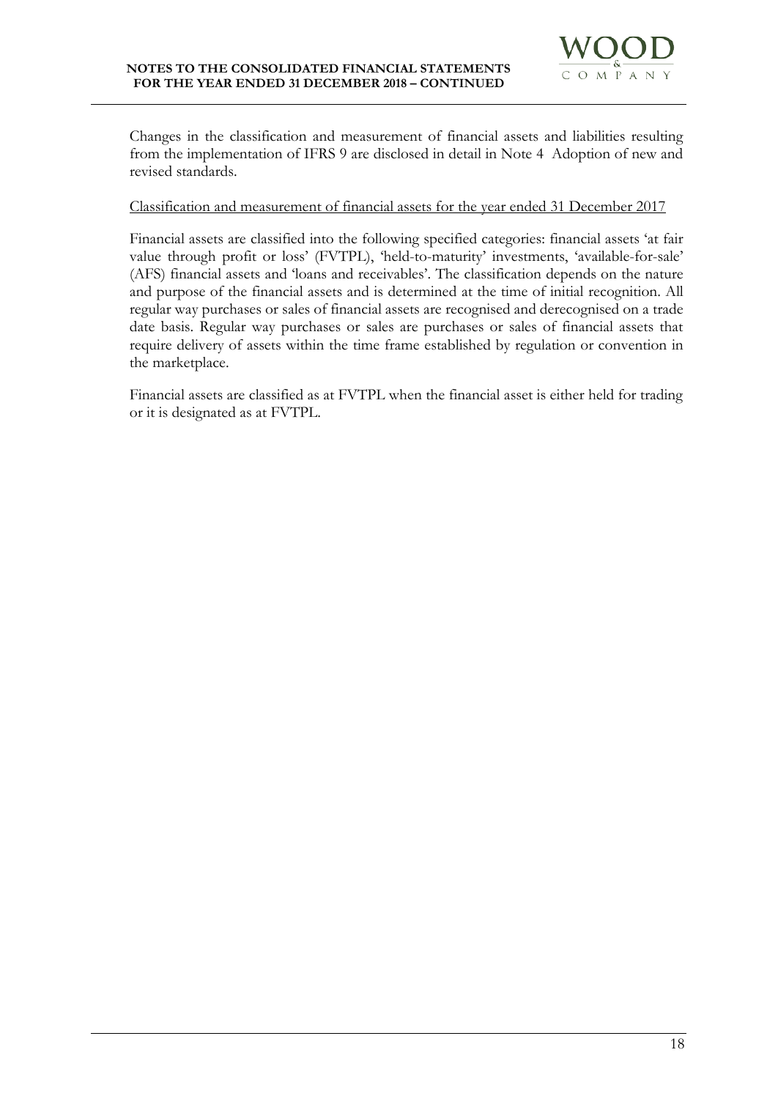

Changes in the classification and measurement of financial assets and liabilities resulting from the implementation of IFRS 9 are disclosed in detail in Note 4 Adoption of new and revised standards.

#### Classification and measurement of financial assets for the year ended 31 December 2017

Financial assets are classified into the following specified categories: financial assets 'at fair value through profit or loss' (FVTPL), 'held-to-maturity' investments, 'available-for-sale' (AFS) financial assets and 'loans and receivables'. The classification depends on the nature and purpose of the financial assets and is determined at the time of initial recognition. All regular way purchases or sales of financial assets are recognised and derecognised on a trade date basis. Regular way purchases or sales are purchases or sales of financial assets that require delivery of assets within the time frame established by regulation or convention in the marketplace.

Financial assets are classified as at FVTPL when the financial asset is either held for trading or it is designated as at FVTPL.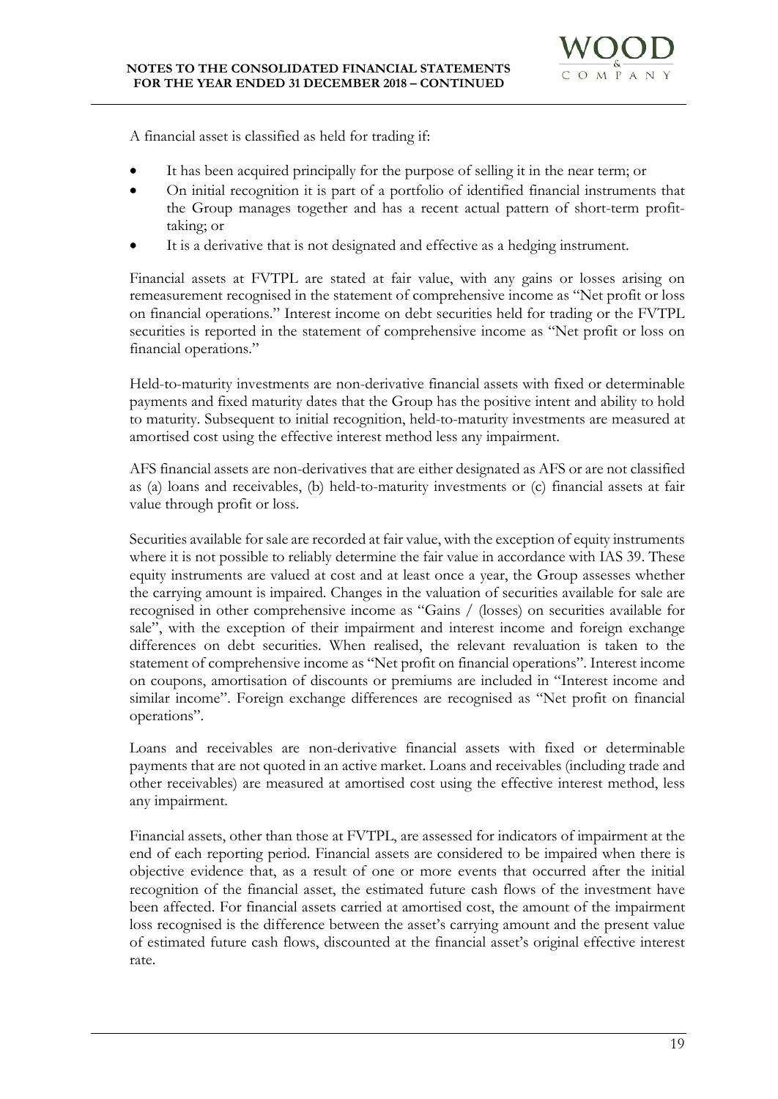

A financial asset is classified as held for trading if:

- It has been acquired principally for the purpose of selling it in the near term; or
- On initial recognition it is part of a portfolio of identified financial instruments that the Group manages together and has a recent actual pattern of short-term profittaking; or
- It is a derivative that is not designated and effective as a hedging instrument.

Financial assets at FVTPL are stated at fair value, with any gains or losses arising on remeasurement recognised in the statement of comprehensive income as "Net profit or loss on financial operations." Interest income on debt securities held for trading or the FVTPL securities is reported in the statement of comprehensive income as "Net profit or loss on financial operations."

Held-to-maturity investments are non-derivative financial assets with fixed or determinable payments and fixed maturity dates that the Group has the positive intent and ability to hold to maturity. Subsequent to initial recognition, held-to-maturity investments are measured at amortised cost using the effective interest method less any impairment.

AFS financial assets are non-derivatives that are either designated as AFS or are not classified as (a) loans and receivables, (b) held-to-maturity investments or (c) financial assets at fair value through profit or loss.

Securities available for sale are recorded at fair value, with the exception of equity instruments where it is not possible to reliably determine the fair value in accordance with IAS 39. These equity instruments are valued at cost and at least once a year, the Group assesses whether the carrying amount is impaired. Changes in the valuation of securities available for sale are recognised in other comprehensive income as "Gains / (losses) on securities available for sale", with the exception of their impairment and interest income and foreign exchange differences on debt securities. When realised, the relevant revaluation is taken to the statement of comprehensive income as "Net profit on financial operations". Interest income on coupons, amortisation of discounts or premiums are included in "Interest income and similar income". Foreign exchange differences are recognised as "Net profit on financial operations".

Loans and receivables are non-derivative financial assets with fixed or determinable payments that are not quoted in an active market. Loans and receivables (including trade and other receivables) are measured at amortised cost using the effective interest method, less any impairment.

Financial assets, other than those at FVTPL, are assessed for indicators of impairment at the end of each reporting period. Financial assets are considered to be impaired when there is objective evidence that, as a result of one or more events that occurred after the initial recognition of the financial asset, the estimated future cash flows of the investment have been affected. For financial assets carried at amortised cost, the amount of the impairment loss recognised is the difference between the asset's carrying amount and the present value of estimated future cash flows, discounted at the financial asset's original effective interest rate.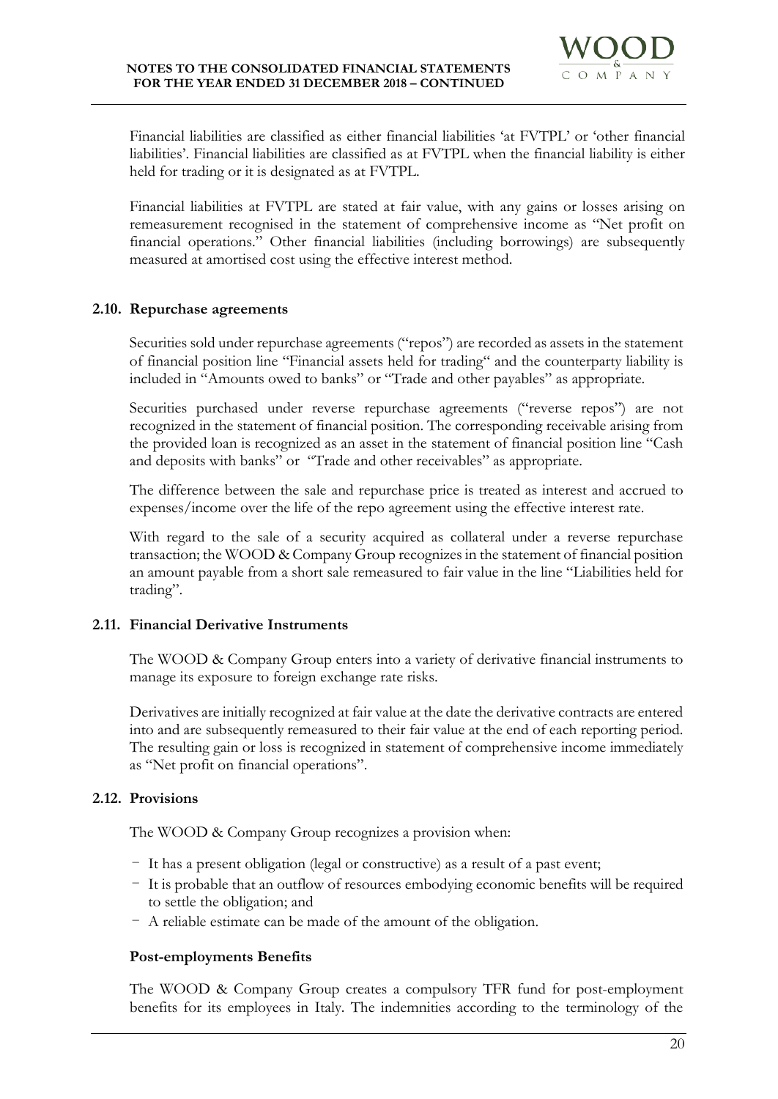

Financial liabilities are classified as either financial liabilities 'at FVTPL' or 'other financial liabilities'. Financial liabilities are classified as at FVTPL when the financial liability is either held for trading or it is designated as at FVTPL.

Financial liabilities at FVTPL are stated at fair value, with any gains or losses arising on remeasurement recognised in the statement of comprehensive income as "Net profit on financial operations." Other financial liabilities (including borrowings) are subsequently measured at amortised cost using the effective interest method.

# **2.10. Repurchase agreements**

Securities sold under repurchase agreements ("repos") are recorded as assets in the statement of financial position line "Financial assets held for trading" and the counterparty liability is included in "Amounts owed to banks" or "Trade and other payables" as appropriate.

Securities purchased under reverse repurchase agreements ("reverse repos") are not recognized in the statement of financial position. The corresponding receivable arising from the provided loan is recognized as an asset in the statement of financial position line "Cash and deposits with banks" or "Trade and other receivables" as appropriate.

The difference between the sale and repurchase price is treated as interest and accrued to expenses/income over the life of the repo agreement using the effective interest rate.

With regard to the sale of a security acquired as collateral under a reverse repurchase transaction; the WOOD & Company Group recognizes in the statement of financial position an amount payable from a short sale remeasured to fair value in the line "Liabilities held for trading".

# **2.11. Financial Derivative Instruments**

The WOOD & Company Group enters into a variety of derivative financial instruments to manage its exposure to foreign exchange rate risks.

Derivatives are initially recognized at fair value at the date the derivative contracts are entered into and are subsequently remeasured to their fair value at the end of each reporting period. The resulting gain or loss is recognized in statement of comprehensive income immediately as "Net profit on financial operations".

# **2.12. Provisions**

The WOOD & Company Group recognizes a provision when:

- It has a present obligation (legal or constructive) as a result of a past event;
- It is probable that an outflow of resources embodying economic benefits will be required to settle the obligation; and
- A reliable estimate can be made of the amount of the obligation.

# **Post-employments Benefits**

The WOOD & Company Group creates a compulsory TFR fund for post-employment benefits for its employees in Italy. The indemnities according to the terminology of the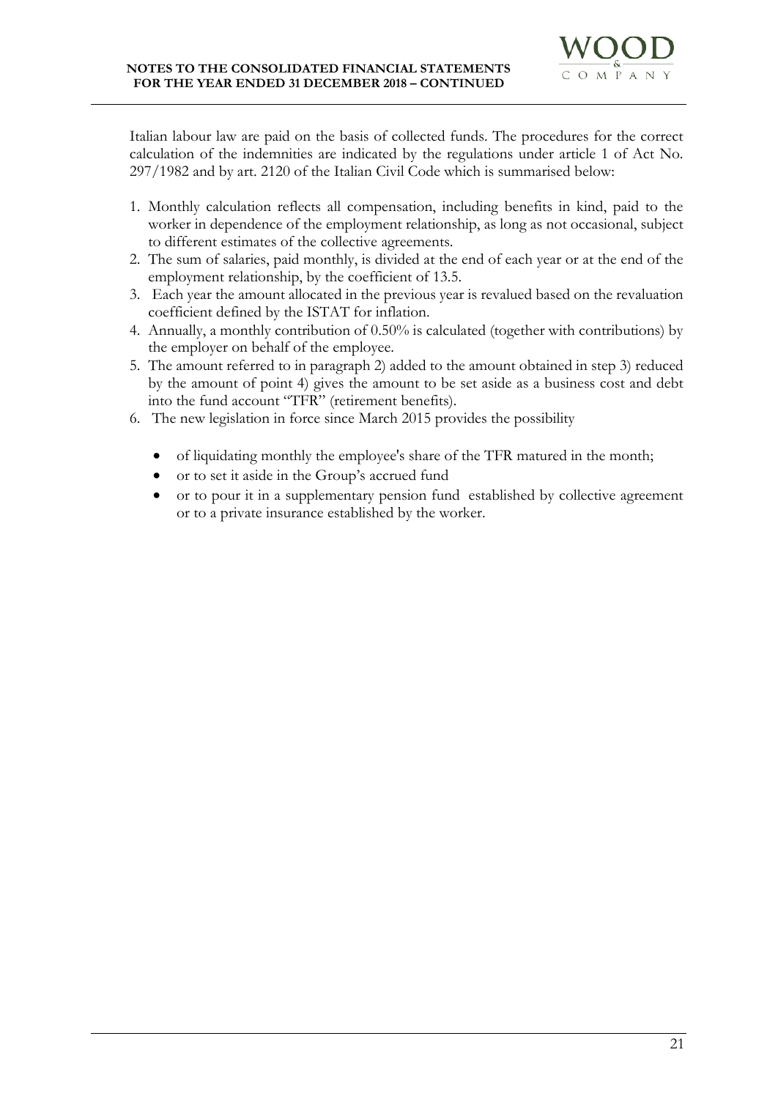Italian labour law are paid on the basis of collected funds. The procedures for the correct calculation of the indemnities are indicated by the regulations under article 1 of Act No. 297/1982 and by art. 2120 of the Italian Civil Code which is summarised below:

- 1. Monthly calculation reflects all compensation, including benefits in kind, paid to the worker in dependence of the employment relationship, as long as not occasional, subject to different estimates of the collective agreements.
- 2. The sum of salaries, paid monthly, is divided at the end of each year or at the end of the employment relationship, by the coefficient of 13.5.
- 3. Each year the amount allocated in the previous year is revalued based on the revaluation coefficient defined by the ISTAT for inflation.
- 4. Annually, a monthly contribution of 0.50% is calculated (together with contributions) by the employer on behalf of the employee.
- 5. The amount referred to in paragraph 2) added to the amount obtained in step 3) reduced by the amount of point 4) gives the amount to be set aside as a business cost and debt into the fund account "TFR" (retirement benefits).
- 6. The new legislation in force since March 2015 provides the possibility
	- of liquidating monthly the employee's share of the TFR matured in the month;
	- or to set it aside in the Group's accrued fund
	- or to pour it in a supplementary pension fund established by collective agreement or to a private insurance established by the worker.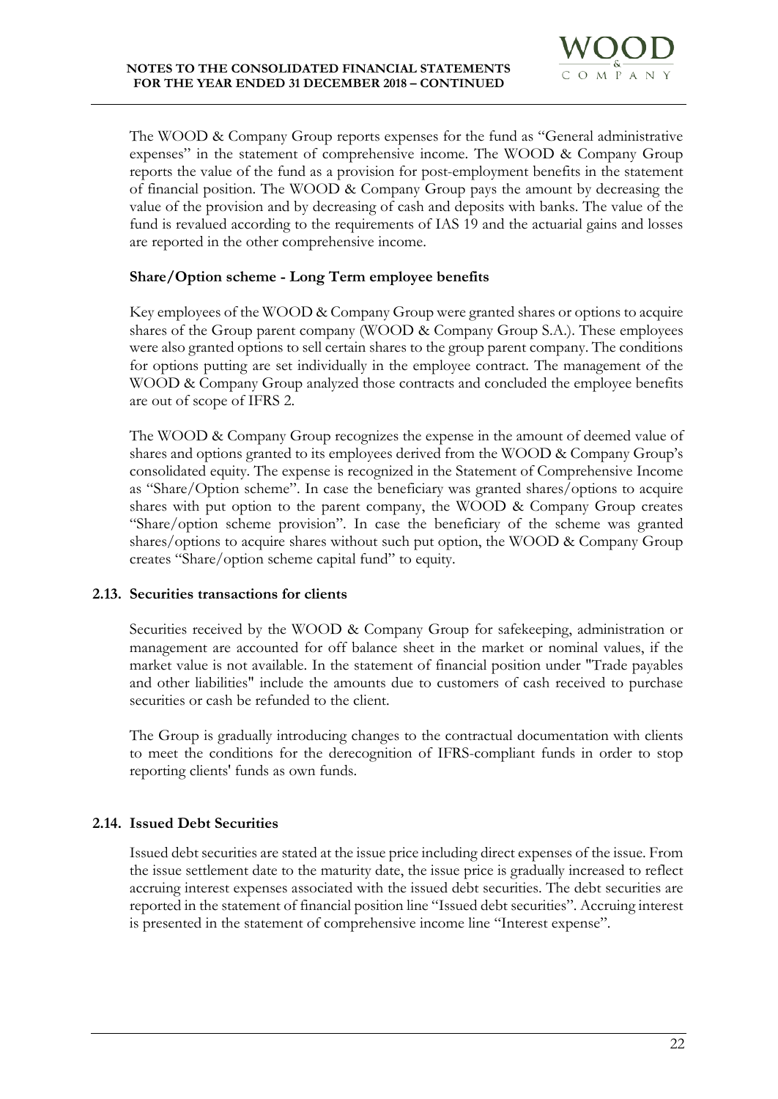

The WOOD & Company Group reports expenses for the fund as "General administrative expenses" in the statement of comprehensive income. The WOOD & Company Group reports the value of the fund as a provision for post-employment benefits in the statement of financial position. The WOOD & Company Group pays the amount by decreasing the value of the provision and by decreasing of cash and deposits with banks. The value of the fund is revalued according to the requirements of IAS 19 and the actuarial gains and losses are reported in the other comprehensive income.

# **Share/Option scheme - Long Term employee benefits**

Key employees of the WOOD & Company Group were granted shares or options to acquire shares of the Group parent company (WOOD & Company Group S.A.). These employees were also granted options to sell certain shares to the group parent company. The conditions for options putting are set individually in the employee contract. The management of the WOOD & Company Group analyzed those contracts and concluded the employee benefits are out of scope of IFRS 2.

The WOOD & Company Group recognizes the expense in the amount of deemed value of shares and options granted to its employees derived from the WOOD & Company Group's consolidated equity. The expense is recognized in the Statement of Comprehensive Income as "Share/Option scheme". In case the beneficiary was granted shares/options to acquire shares with put option to the parent company, the WOOD & Company Group creates "Share/option scheme provision". In case the beneficiary of the scheme was granted shares/options to acquire shares without such put option, the WOOD & Company Group creates "Share/option scheme capital fund" to equity.

# **2.13. Securities transactions for clients**

Securities received by the WOOD & Company Group for safekeeping, administration or management are accounted for off balance sheet in the market or nominal values, if the market value is not available. In the statement of financial position under "Trade payables and other liabilities" include the amounts due to customers of cash received to purchase securities or cash be refunded to the client.

The Group is gradually introducing changes to the contractual documentation with clients to meet the conditions for the derecognition of IFRS-compliant funds in order to stop reporting clients' funds as own funds.

# **2.14. Issued Debt Securities**

Issued debt securities are stated at the issue price including direct expenses of the issue. From the issue settlement date to the maturity date, the issue price is gradually increased to reflect accruing interest expenses associated with the issued debt securities. The debt securities are reported in the statement of financial position line "Issued debt securities". Accruing interest is presented in the statement of comprehensive income line "Interest expense".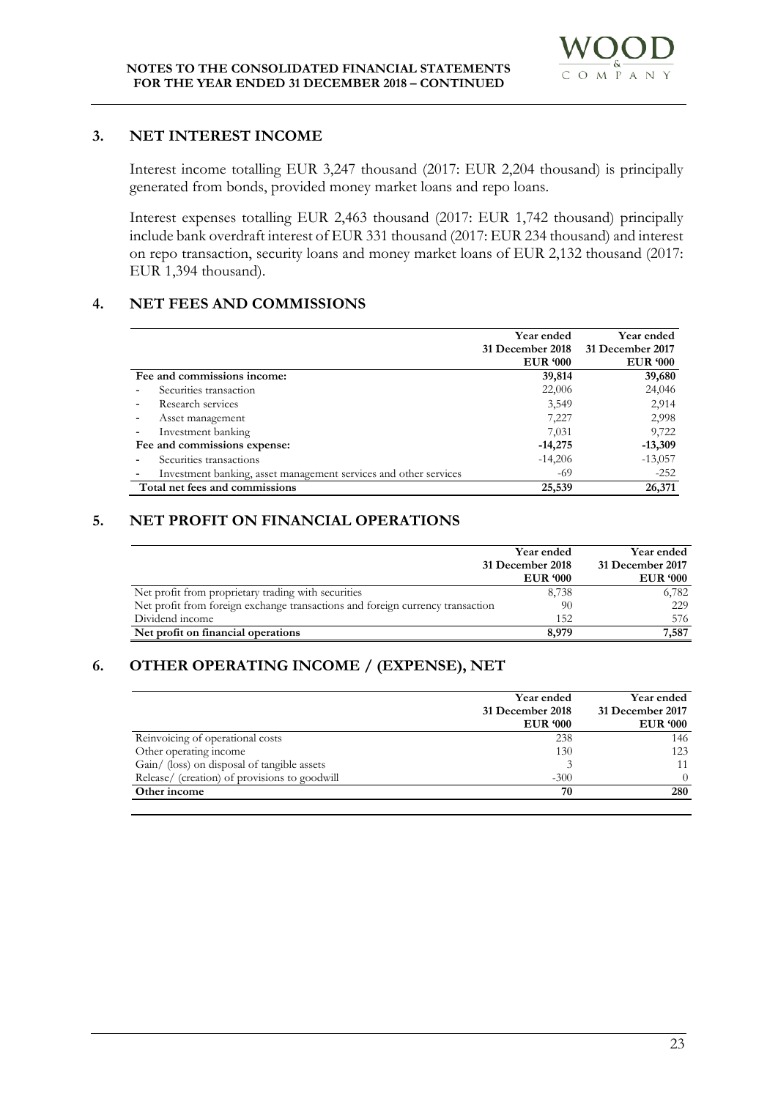

# **3. NET INTEREST INCOME**

Interest income totalling EUR 3,247 thousand (2017: EUR 2,204 thousand) is principally generated from bonds, provided money market loans and repo loans.

Interest expenses totalling EUR 2,463 thousand (2017: EUR 1,742 thousand) principally include bank overdraft interest of EUR 331 thousand (2017: EUR 234 thousand) and interest on repo transaction, security loans and money market loans of EUR 2,132 thousand (2017: EUR 1,394 thousand).

# **4. NET FEES AND COMMISSIONS**

|                                                                  | Year ended       | Year ended       |
|------------------------------------------------------------------|------------------|------------------|
|                                                                  | 31 December 2018 | 31 December 2017 |
|                                                                  | <b>EUR</b> '000  | <b>EUR</b> '000  |
| Fee and commissions income:                                      | 39,814           | 39,680           |
| Securities transaction                                           | 22,006           | 24,046           |
| Research services                                                | 3,549            | 2,914            |
| Asset management                                                 | 7,227            | 2,998            |
| Investment banking                                               | 7,031            | 9,722            |
| Fee and commissions expense:                                     | $-14,275$        | $-13,309$        |
| Securities transactions                                          | $-14,206$        | $-13,057$        |
| Investment banking, asset management services and other services | -69              | $-252$           |
| Total net fees and commissions                                   | 25,539           | 26,371           |

# **5. NET PROFIT ON FINANCIAL OPERATIONS**

|                                                                                | Year ended       | Year ended       |
|--------------------------------------------------------------------------------|------------------|------------------|
|                                                                                | 31 December 2018 | 31 December 2017 |
|                                                                                | <b>EUR '000</b>  | <b>EUR '000</b>  |
| Net profit from proprietary trading with securities                            | 8,738            | 6,782            |
| Net profit from foreign exchange transactions and foreign currency transaction | 90               | 229              |
| Dividend income                                                                | 152              | 576              |
| Net profit on financial operations                                             | 8,979            | 7,587            |

# **6. OTHER OPERATING INCOME / (EXPENSE), NET**

|                                               | Year ended<br>31 December 2018<br><b>EUR '000</b> | Year ended<br>31 December 2017<br><b>EUR</b> '000 |
|-----------------------------------------------|---------------------------------------------------|---------------------------------------------------|
| Reinvoicing of operational costs              | 238                                               | 146                                               |
| Other operating income                        | 130                                               | 123                                               |
| Gain/ (loss) on disposal of tangible assets   |                                                   | 11                                                |
| Release/ (creation) of provisions to goodwill | $-300$                                            | 0                                                 |
| Other income                                  | 70                                                | 280                                               |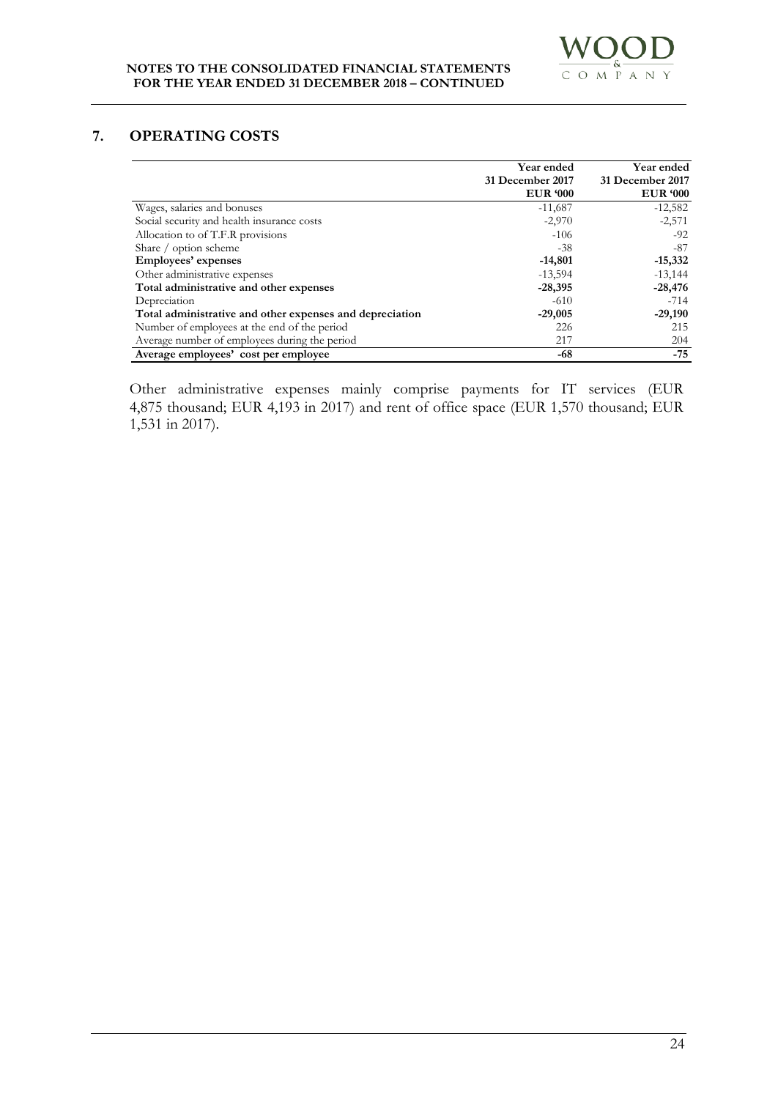# **7. OPERATING COSTS**

|                                                          | Year ended       | Year ended       |
|----------------------------------------------------------|------------------|------------------|
|                                                          | 31 December 2017 | 31 December 2017 |
|                                                          | <b>EUR</b> '000  | <b>EUR</b> '000  |
| Wages, salaries and bonuses                              | $-11,687$        | $-12,582$        |
| Social security and health insurance costs               | $-2,970$         | $-2,571$         |
| Allocation to of T.F.R provisions                        | $-106$           | $-92$            |
| Share / option scheme                                    | -38              | -87              |
| Employees' expenses                                      | $-14,801$        | $-15,332$        |
| Other administrative expenses                            | $-13,594$        | $-13,144$        |
| Total administrative and other expenses                  | $-28,395$        | $-28,476$        |
| Depreciation                                             | $-610$           | $-714$           |
| Total administrative and other expenses and depreciation | $-29,005$        | $-29,190$        |
| Number of employees at the end of the period             | 226              | 215              |
| Average number of employees during the period            | 217              | 204              |
| Average employees' cost per employee                     | -68              | $-75$            |

Other administrative expenses mainly comprise payments for IT services (EUR 4,875 thousand; EUR 4,193 in 2017) and rent of office space (EUR 1,570 thousand; EUR 1,531 in 2017).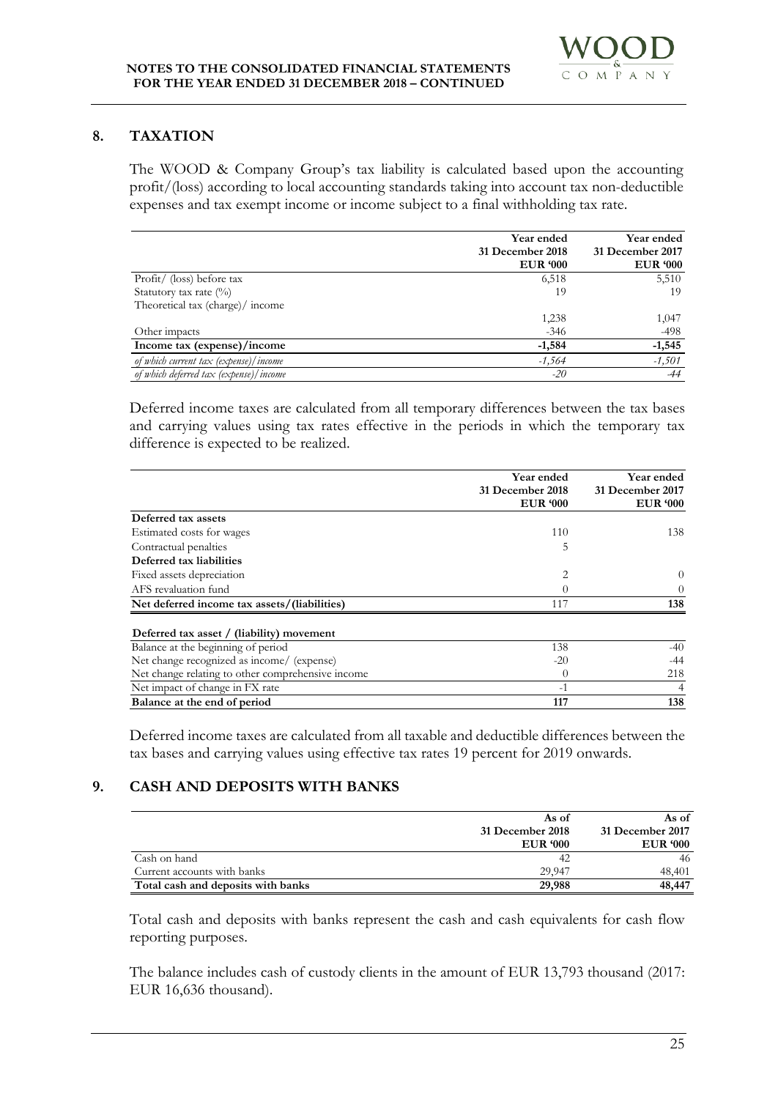# **8. TAXATION**

The WOOD & Company Group's tax liability is calculated based upon the accounting profit/(loss) according to local accounting standards taking into account tax non-deductible expenses and tax exempt income or income subject to a final withholding tax rate.

|                                        | Year ended<br>31 December 2018 | Year ended<br>31 December 2017 |
|----------------------------------------|--------------------------------|--------------------------------|
|                                        | <b>EUR</b> '000                | <b>EUR '000</b>                |
| Profit/ (loss) before tax              | 6,518                          | 5,510                          |
| Statutory tax rate $(\%)$              | 19                             | 19                             |
| Theoretical tax (charge)/ income       |                                |                                |
|                                        | 1,238                          | 1,047                          |
| Other impacts                          | $-346$                         | $-498$                         |
| Income tax (expense)/income            | $-1,584$                       | $-1,545$                       |
| of which current tax (expense)/income  | -1,564                         | $-1,501$                       |
| of which deferred tax (expense)/income | $-20$                          | $-44$                          |

Deferred income taxes are calculated from all temporary differences between the tax bases and carrying values using tax rates effective in the periods in which the temporary tax difference is expected to be realized.

|                                                   | Year ended                          | <b>Year ended</b>                   |  |
|---------------------------------------------------|-------------------------------------|-------------------------------------|--|
|                                                   | 31 December 2018<br><b>EUR '000</b> | 31 December 2017<br><b>EUR '000</b> |  |
| Deferred tax assets                               |                                     |                                     |  |
| Estimated costs for wages                         | 110                                 | 138                                 |  |
| Contractual penalties                             | 5                                   |                                     |  |
| Deferred tax liabilities                          |                                     |                                     |  |
| Fixed assets depreciation                         | $\overline{2}$                      | $\theta$                            |  |
| AFS revaluation fund                              | $\Omega$                            | $\Omega$                            |  |
| Net deferred income tax assets/(liabilities)      | 117                                 | 138                                 |  |
| Deferred tax asset / (liability) movement         |                                     |                                     |  |
| Balance at the beginning of period                | 138                                 | $-40$                               |  |
| Net change recognized as income/ (expense)        | $-20$                               | -44                                 |  |
| Net change relating to other comprehensive income | $\Omega$                            | 218                                 |  |
| Net impact of change in FX rate                   | $-1$                                | 4                                   |  |
| Balance at the end of period                      | 117                                 | 138                                 |  |

Deferred income taxes are calculated from all taxable and deductible differences between the tax bases and carrying values using effective tax rates 19 percent for 2019 onwards.

# **9. CASH AND DEPOSITS WITH BANKS**

|                                    | As of            | As of            |
|------------------------------------|------------------|------------------|
|                                    | 31 December 2018 | 31 December 2017 |
|                                    | <b>EUR '000</b>  | <b>EUR</b> '000  |
| Cash on hand                       | 42               | 46               |
| Current accounts with banks        | 29.947           | 48.401           |
| Total cash and deposits with banks | 29,988           | 48,447           |

Total cash and deposits with banks represent the cash and cash equivalents for cash flow reporting purposes.

The balance includes cash of custody clients in the amount of EUR 13,793 thousand (2017: EUR 16,636 thousand).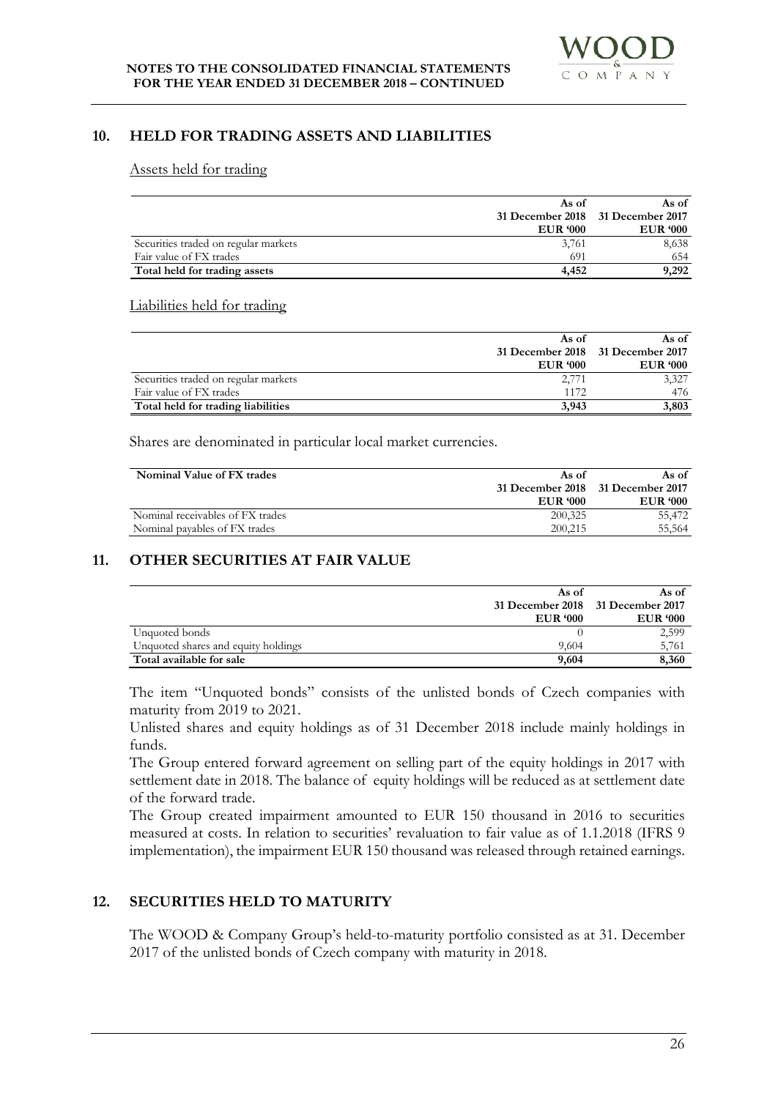#### **10. HELD FOR TRADING ASSETS AND LIABILITIES**

#### Assets held for trading

|                                      | As of           | As of                             |
|--------------------------------------|-----------------|-----------------------------------|
|                                      |                 | 31 December 2018 31 December 2017 |
|                                      | <b>EUR '000</b> | <b>EUR '000</b>                   |
| Securities traded on regular markets | 3,761           | 8,638                             |
| Fair value of FX trades              | 691             | 654                               |
| Total held for trading assets        | 4.452           | 9,292                             |

#### Liabilities held for trading

|                                      | As of           | As of                             |
|--------------------------------------|-----------------|-----------------------------------|
|                                      |                 | 31 December 2018 31 December 2017 |
|                                      | <b>EUR '000</b> | <b>EUR '000</b>                   |
| Securities traded on regular markets | 2,771           | 3,327                             |
| Fair value of FX trades              | 1172            | 476                               |
| Total held for trading liabilities   | 3.943           | 3,803                             |

Shares are denominated in particular local market currencies.

| Nominal Value of FX trades       | As of           | As of                             |
|----------------------------------|-----------------|-----------------------------------|
|                                  |                 | 31 December 2018 31 December 2017 |
|                                  | <b>EUR</b> '000 | <b>EUR '000</b>                   |
| Nominal receivables of FX trades | 200,325         | 55.472                            |
| Nominal payables of FX trades    | 200,215         | 55.564                            |

# **11. OTHER SECURITIES AT FAIR VALUE**

|                                     | As of                             | As of           |
|-------------------------------------|-----------------------------------|-----------------|
|                                     | 31 December 2018 31 December 2017 |                 |
|                                     | <b>EUR</b> '000                   | <b>EUR '000</b> |
| Unquoted bonds                      |                                   | 2,599           |
| Unquoted shares and equity holdings | 9.604                             | 5,761           |
| Total available for sale            | 9,604                             | 8,360           |

The item "Unquoted bonds" consists of the unlisted bonds of Czech companies with maturity from 2019 to 2021.

Unlisted shares and equity holdings as of 31 December 2018 include mainly holdings in funds.

The Group entered forward agreement on selling part of the equity holdings in 2017 with settlement date in 2018. The balance of equity holdings will be reduced as at settlement date of the forward trade.

The Group created impairment amounted to EUR 150 thousand in 2016 to securities measured at costs. In relation to securities' revaluation to fair value as of 1.1.2018 (IFRS 9 implementation), the impairment EUR 150 thousand was released through retained earnings.

# **12. SECURITIES HELD TO MATURITY**

The WOOD & Company Group's held-to-maturity portfolio consisted as at 31. December 2017 of the unlisted bonds of Czech company with maturity in 2018.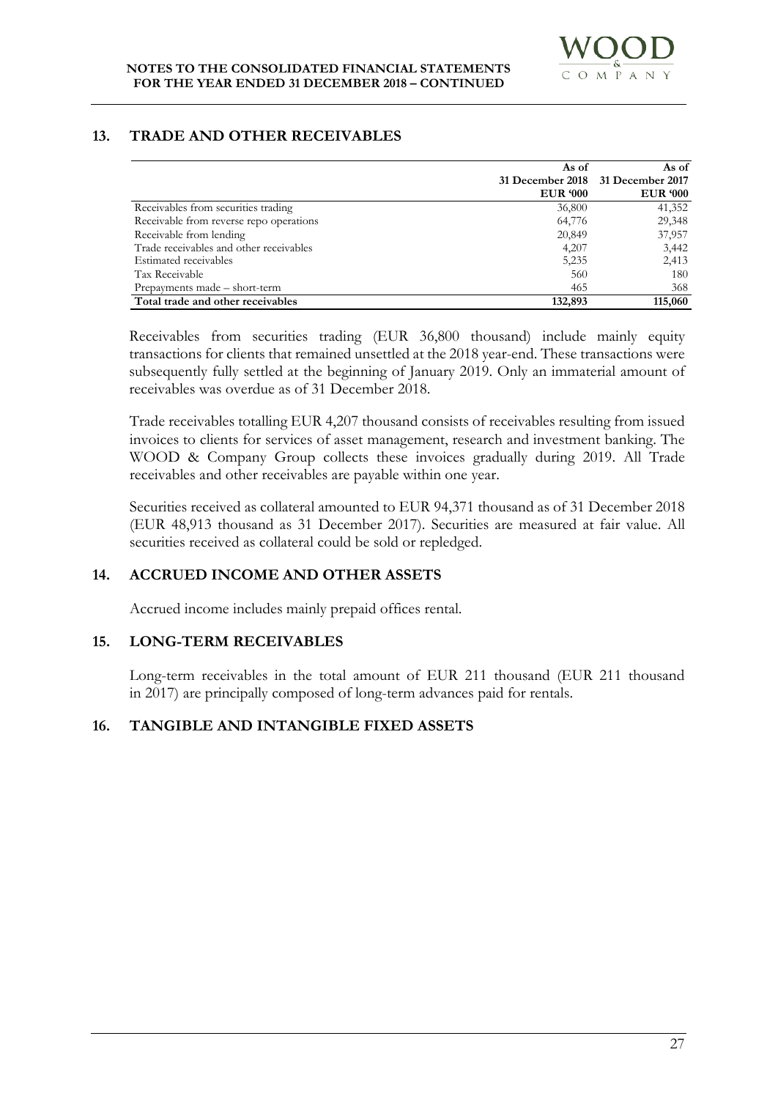# **13. TRADE AND OTHER RECEIVABLES**

|                                         | As of           | As of                             |
|-----------------------------------------|-----------------|-----------------------------------|
|                                         |                 | 31 December 2018 31 December 2017 |
|                                         | <b>EUR</b> '000 | <b>EUR '000</b>                   |
| Receivables from securities trading     | 36,800          | 41,352                            |
| Receivable from reverse repo operations | 64,776          | 29,348                            |
| Receivable from lending                 | 20,849          | 37,957                            |
| Trade receivables and other receivables | 4,207           | 3,442                             |
| Estimated receivables                   | 5,235           | 2,413                             |
| Tax Receivable                          | 560             | 180                               |
| Prepayments made – short-term           | 465             | 368                               |
| Total trade and other receivables       | 132,893         | 115,060                           |

Receivables from securities trading (EUR 36,800 thousand) include mainly equity transactions for clients that remained unsettled at the 2018 year-end. These transactions were subsequently fully settled at the beginning of January 2019. Only an immaterial amount of receivables was overdue as of 31 December 2018.

Trade receivables totalling EUR 4,207 thousand consists of receivables resulting from issued invoices to clients for services of asset management, research and investment banking. The WOOD & Company Group collects these invoices gradually during 2019. All Trade receivables and other receivables are payable within one year.

Securities received as collateral amounted to EUR 94,371 thousand as of 31 December 2018 (EUR 48,913 thousand as 31 December 2017). Securities are measured at fair value. All securities received as collateral could be sold or repledged.

# **14. ACCRUED INCOME AND OTHER ASSETS**

Accrued income includes mainly prepaid offices rental.

# **15. LONG-TERM RECEIVABLES**

Long-term receivables in the total amount of EUR 211 thousand (EUR 211 thousand in 2017) are principally composed of long-term advances paid for rentals.

# **16. TANGIBLE AND INTANGIBLE FIXED ASSETS**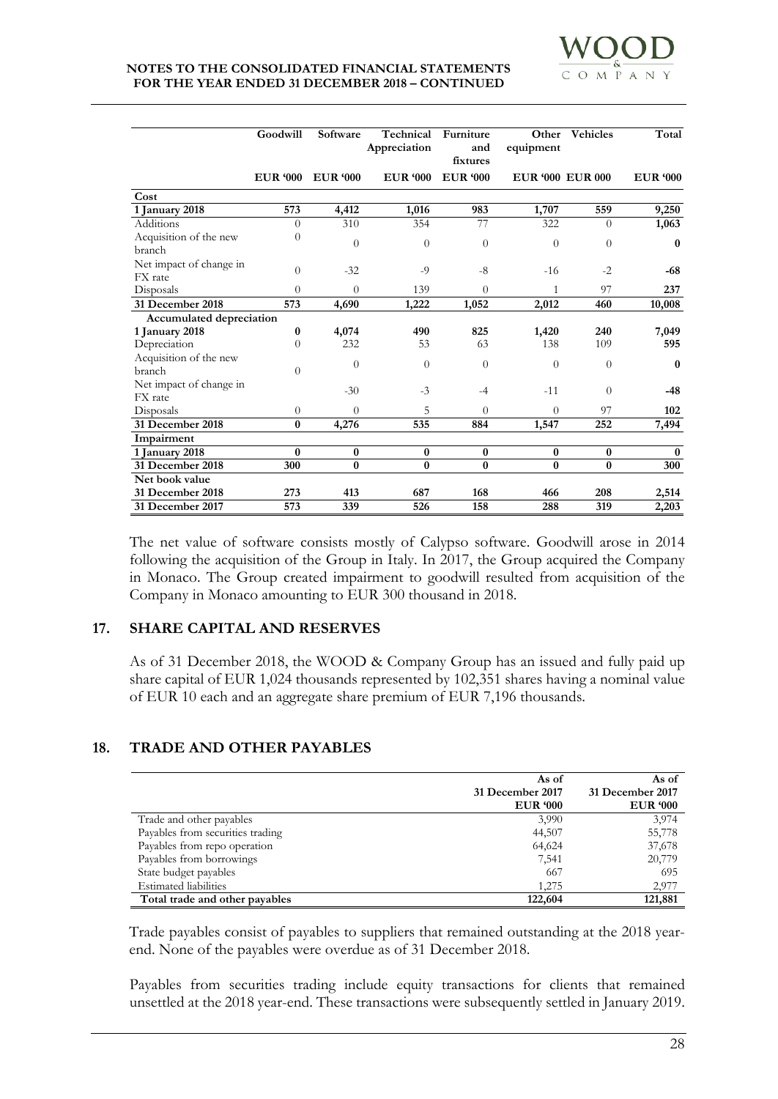|                                    | Goodwill        | Software        | Technical<br>Appreciation | Furniture<br>and<br>fixtures | Other<br>equipment      | <b>Vehicles</b> | Total           |
|------------------------------------|-----------------|-----------------|---------------------------|------------------------------|-------------------------|-----------------|-----------------|
|                                    | <b>EUR '000</b> | <b>EUR '000</b> | <b>EUR '000</b>           | <b>EUR</b> '000              | <b>EUR '000 EUR 000</b> |                 | <b>EUR '000</b> |
| Cost                               |                 |                 |                           |                              |                         |                 |                 |
| 1 January 2018                     | 573             | 4,412           | 1,016                     | 983                          | 1,707                   | 559             | 9,250           |
| Additions                          | $\theta$        | 310             | 354                       | 77                           | 322                     | $\Omega$        | 1,063           |
| Acquisition of the new<br>branch   | $\overline{0}$  | $\theta$        | $\overline{0}$            | $\theta$                     | $\overline{0}$          | $\theta$        | $\mathbf{0}$    |
| Net impact of change in<br>FX rate | $\overline{0}$  | $-32$           | $-9$                      | $-8$                         | $-16$                   | $-2$            | $-68$           |
| Disposals                          | $\overline{0}$  | $\Omega$        | 139                       | $\Omega$                     | $\mathbf{1}$            | 97              | 237             |
| 31 December 2018                   | 573             | 4,690           | 1,222                     | 1,052                        | 2,012                   | 460             | 10,008          |
| Accumulated depreciation           |                 |                 |                           |                              |                         |                 |                 |
| 1 January 2018                     | 0               | 4,074           | 490                       | 825                          | 1,420                   | 240             | 7,049           |
| Depreciation                       | $\theta$        | 232             | 53                        | 63                           | 138                     | 109             | 595             |
| Acquisition of the new<br>branch   | $\theta$        | $\theta$        | $\Omega$                  | $\theta$                     | $\theta$                | $\theta$        | $\mathbf{0}$    |
| Net impact of change in<br>FX rate |                 | $-30$           | $-3$                      | $-4$                         | $-11$                   | $\Omega$        | $-48$           |
| Disposals                          | $\overline{0}$  | $\Omega$        | 5                         | $\Omega$                     | $\Omega$                | 97              | 102             |
| 31 December 2018                   | $\bf{0}$        | 4,276           | 535                       | 884                          | 1,547                   | 252             | 7,494           |
| Impairment                         |                 |                 |                           |                              |                         |                 |                 |
| 1 January 2018                     | $\bf{0}$        | $\bf{0}$        | $\bf{0}$                  | $\bf{0}$                     | $\bf{0}$                | $\bf{0}$        | $\mathbf{0}$    |
| 31 December 2018                   | 300             | $\bf{0}$        | $\bf{0}$                  | $\bf{0}$                     | $\bf{0}$                | $\bf{0}$        | 300             |
| Net book value                     |                 |                 |                           |                              |                         |                 |                 |
| 31 December 2018                   | 273             | 413             | 687                       | 168                          | 466                     | 208             | 2,514           |
| 31 December 2017                   | 573             | 339             | 526                       | 158                          | 288                     | 319             | 2,203           |

The net value of software consists mostly of Calypso software. Goodwill arose in 2014 following the acquisition of the Group in Italy. In 2017, the Group acquired the Company in Monaco. The Group created impairment to goodwill resulted from acquisition of the Company in Monaco amounting to EUR 300 thousand in 2018.

# **17. SHARE CAPITAL AND RESERVES**

As of 31 December 2018, the WOOD & Company Group has an issued and fully paid up share capital of EUR 1,024 thousands represented by 102,351 shares having a nominal value of EUR 10 each and an aggregate share premium of EUR 7,196 thousands.

# **18. TRADE AND OTHER PAYABLES**

|                                  | As of            | As of            |
|----------------------------------|------------------|------------------|
|                                  | 31 December 2017 | 31 December 2017 |
|                                  | <b>EUR</b> '000  | <b>EUR</b> '000  |
| Trade and other payables         | 3,990            | 3,974            |
| Payables from securities trading | 44,507           | 55,778           |
| Payables from repo operation     | 64,624           | 37,678           |
| Payables from borrowings         | 7,541            | 20,779           |
| State budget payables            | 667              | 695              |
| <b>Estimated liabilities</b>     | 1,275            | 2,977            |
| Total trade and other payables   | 122,604          | 121,881          |

Trade payables consist of payables to suppliers that remained outstanding at the 2018 yearend. None of the payables were overdue as of 31 December 2018.

Payables from securities trading include equity transactions for clients that remained unsettled at the 2018 year-end. These transactions were subsequently settled in January 2019.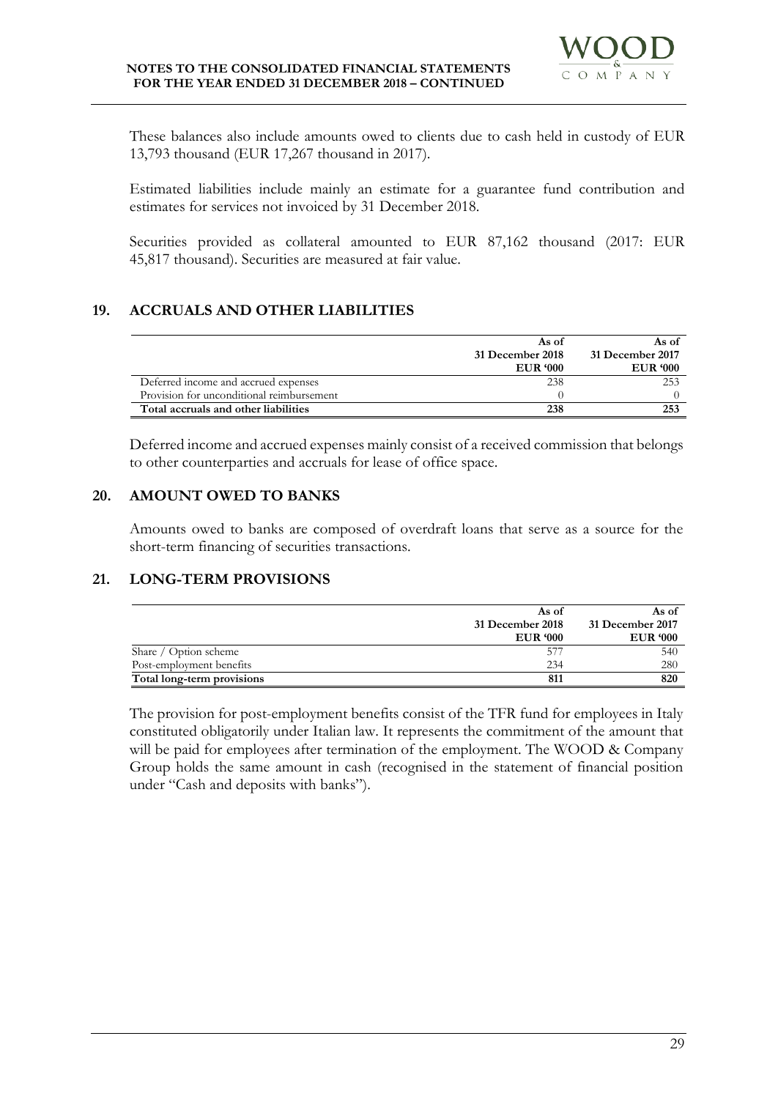

These balances also include amounts owed to clients due to cash held in custody of EUR 13,793 thousand (EUR 17,267 thousand in 2017).

Estimated liabilities include mainly an estimate for a guarantee fund contribution and estimates for services not invoiced by 31 December 2018.

Securities provided as collateral amounted to EUR 87,162 thousand (2017: EUR 45,817 thousand). Securities are measured at fair value.

# **19. ACCRUALS AND OTHER LIABILITIES**

|                                           | As of            | As of            |
|-------------------------------------------|------------------|------------------|
|                                           | 31 December 2018 | 31 December 2017 |
|                                           | <b>EUR</b> '000  | <b>EUR</b> '000  |
| Deferred income and accrued expenses      | 238              | 253              |
| Provision for unconditional reimbursement |                  |                  |
| Total accruals and other liabilities      | 238              | 253              |

Deferred income and accrued expenses mainly consist of a received commission that belongs to other counterparties and accruals for lease of office space.

# **20. AMOUNT OWED TO BANKS**

Amounts owed to banks are composed of overdraft loans that serve as a source for the short-term financing of securities transactions.

# **21. LONG-TERM PROVISIONS**

|                            | As of            | As of            |
|----------------------------|------------------|------------------|
|                            | 31 December 2018 | 31 December 2017 |
|                            | <b>EUR</b> '000  | <b>EUR</b> '000  |
| Share / Option scheme      | 57               | 540              |
| Post-employment benefits   | 234              | 280              |
| Total long-term provisions | 811              | 820              |

The provision for post-employment benefits consist of the TFR fund for employees in Italy constituted obligatorily under Italian law. It represents the commitment of the amount that will be paid for employees after termination of the employment. The WOOD & Company Group holds the same amount in cash (recognised in the statement of financial position under "Cash and deposits with banks").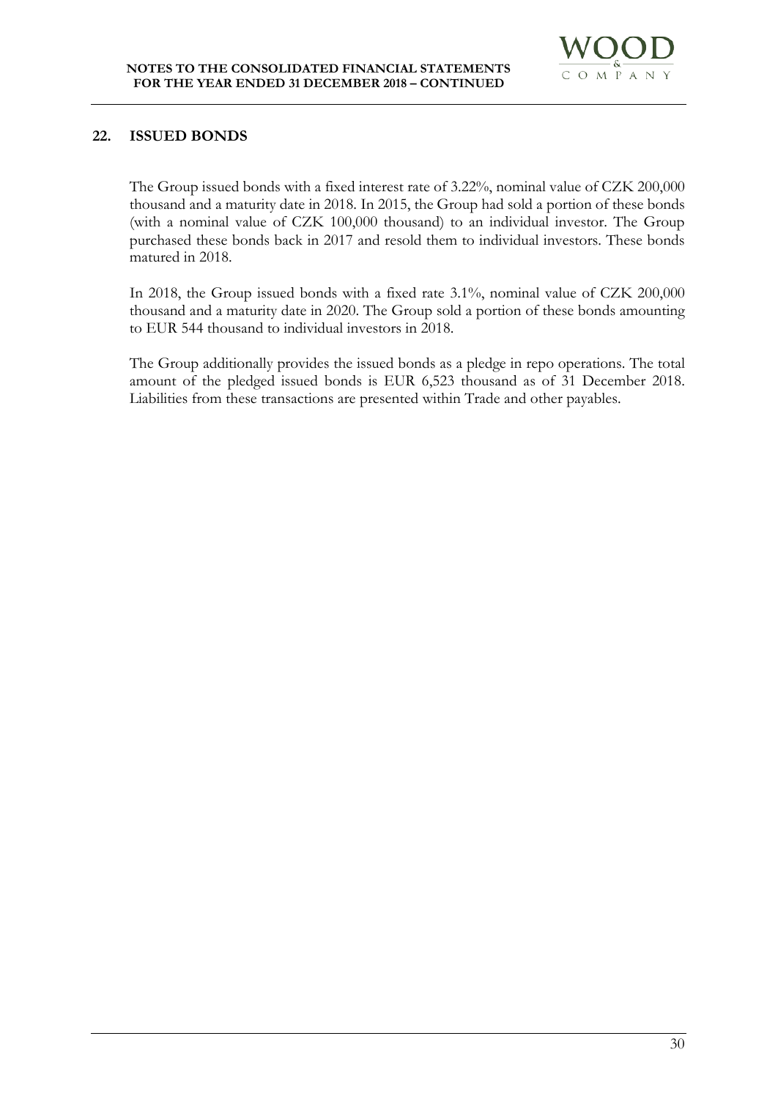

# **22. ISSUED BONDS**

The Group issued bonds with a fixed interest rate of 3.22%, nominal value of CZK 200,000 thousand and a maturity date in 2018. In 2015, the Group had sold a portion of these bonds (with a nominal value of CZK 100,000 thousand) to an individual investor. The Group purchased these bonds back in 2017 and resold them to individual investors. These bonds matured in 2018.

In 2018, the Group issued bonds with a fixed rate 3.1%, nominal value of CZK 200,000 thousand and a maturity date in 2020. The Group sold a portion of these bonds amounting to EUR 544 thousand to individual investors in 2018.

The Group additionally provides the issued bonds as a pledge in repo operations. The total amount of the pledged issued bonds is EUR 6,523 thousand as of 31 December 2018. Liabilities from these transactions are presented within Trade and other payables.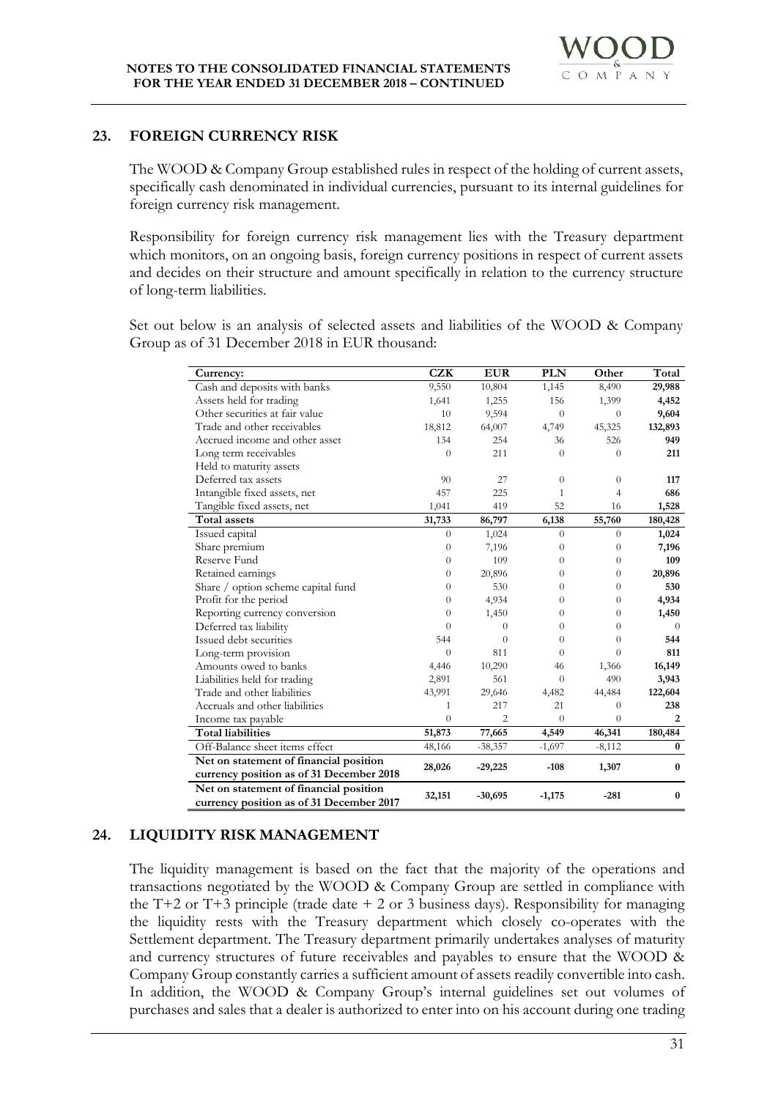# **23. FOREIGN CURRENCY RISK**

The WOOD & Company Group established rules in respect of the holding of current assets, specifically cash denominated in individual currencies, pursuant to its internal guidelines for foreign currency risk management.

Responsibility for foreign currency risk management lies with the Treasury department which monitors, on an ongoing basis, foreign currency positions in respect of current assets and decides on their structure and amount specifically in relation to the currency structure of long-term liabilities.

Set out below is an analysis of selected assets and liabilities of the WOOD & Company Group as of 31 December 2018 in EUR thousand:

| Currency:                                                                          | <b>CZK</b>     | <b>EUR</b>     | <b>PLN</b>       | Other          | Total    |
|------------------------------------------------------------------------------------|----------------|----------------|------------------|----------------|----------|
| Cash and deposits with banks                                                       | 9,550          | 10,804         | 1,145            | 8,490          | 29,988   |
| Assets held for trading                                                            | 1,641          | 1,255          | 156              | 1,399          | 4,452    |
| Other securities at fair value                                                     | 10             | 9,594          | $\theta$         | $\theta$       | 9,604    |
| Trade and other receivables                                                        | 18,812         | 64,007         | 4,749            | 45,325         | 132,893  |
| Accrued income and other asset                                                     | 134            | 254            | 36               | 526            | 949      |
| Long term receivables                                                              | $\overline{0}$ | 211            | $\theta$         | $\Omega$       | 211      |
| Held to maturity assets                                                            |                |                |                  |                |          |
| Deferred tax assets                                                                | 90             | 27             | $\theta$         | $\Omega$       | 117      |
| Intangible fixed assets, net                                                       | 457            | 225            | 1                | $\overline{4}$ | 686      |
| Tangible fixed assets, net                                                         | 1,041          | 419            | 52               | 16             | 1,528    |
| Total assets                                                                       | 31,733         | 86,797         | 6,138            | 55,760         | 180,428  |
| Issued capital                                                                     | $\theta$       | 1,024          | $\boldsymbol{0}$ | $\theta$       | 1,024    |
| Share premium                                                                      | $\overline{0}$ | 7,196          | $\overline{0}$   | $\theta$       | 7,196    |
| Reserve Fund                                                                       | $\theta$       | 109            | $\theta$         | $\theta$       | 109      |
| Retained earnings                                                                  | 0              | 20,896         | $\theta$         | $\Omega$       | 20,896   |
| Share / option scheme capital fund                                                 | $\Omega$       | 530            | $\theta$         | $\Omega$       | 530      |
| Profit for the period                                                              | $\Omega$       | 4,934          | $\theta$         | $\Omega$       | 4,934    |
| Reporting currency conversion                                                      | $\Omega$       | 1,450          | $\theta$         | $\theta$       | 1,450    |
| Deferred tax liability                                                             | $\overline{0}$ | $\theta$       | $\theta$         | $\theta$       | $\theta$ |
| Issued debt securities                                                             | 544            | $\theta$       | $\theta$         | $\Omega$       | 544      |
| Long-term provision                                                                | $\theta$       | 811            | $\Omega$         | $\theta$       | 811      |
| Amounts owed to banks                                                              | 4,446          | 10,290         | 46               | 1,366          | 16,149   |
| Liabilities held for trading                                                       | 2,891          | 561            | $\theta$         | 490            | 3,943    |
| Trade and other liabilities                                                        | 43,991         | 29,646         | 4,482            | 44,484         | 122,604  |
| Accruals and other liabilities                                                     | 1              | 217            | 21               | $\theta$       | 238      |
| Income tax payable                                                                 | $\overline{0}$ | $\overline{2}$ | $\theta$         | $\theta$       | 2        |
| <b>Total liabilities</b>                                                           | 51,873         | 77,665         | 4,549            | 46,341         | 180,484  |
| Off-Balance sheet items effect                                                     | 48,166         | $-38,357$      | $-1,697$         | $-8,112$       | $\bf{0}$ |
| Net on statement of financial position                                             | 28,026         | $-29,225$      | $-108$           | 1,307          | $\bf{0}$ |
| currency position as of 31 December 2018                                           |                |                |                  |                |          |
| Net on statement of financial position<br>currency position as of 31 December 2017 | 32,151         | $-30,695$      | $-1,175$         | $-281$         | $\bf{0}$ |

# **24. LIQUIDITY RISK MANAGEMENT**

The liquidity management is based on the fact that the majority of the operations and transactions negotiated by the WOOD & Company Group are settled in compliance with the T+2 or T+3 principle (trade date  $+ 2$  or 3 business days). Responsibility for managing the liquidity rests with the Treasury department which closely co-operates with the Settlement department. The Treasury department primarily undertakes analyses of maturity and currency structures of future receivables and payables to ensure that the WOOD & Company Group constantly carries a sufficient amount of assets readily convertible into cash. In addition, the WOOD & Company Group's internal guidelines set out volumes of purchases and sales that a dealer is authorized to enter into on his account during one trading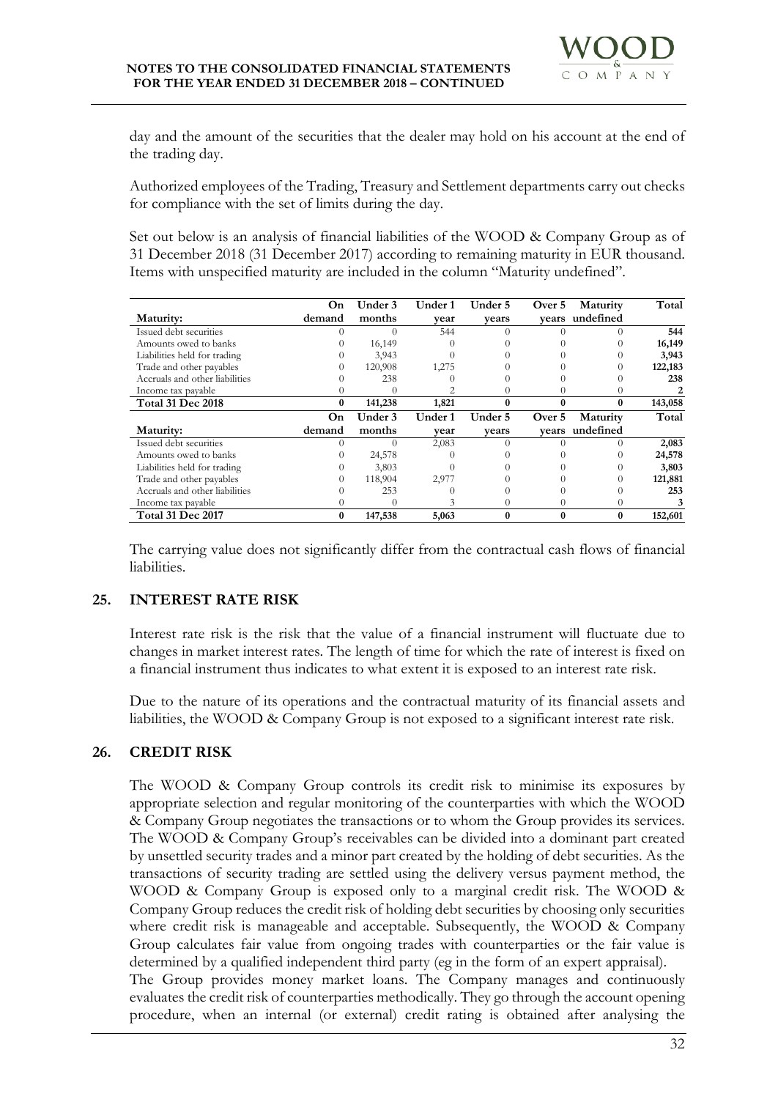day and the amount of the securities that the dealer may hold on his account at the end of the trading day.

Authorized employees of the Trading, Treasury and Settlement departments carry out checks for compliance with the set of limits during the day.

Set out below is an analysis of financial liabilities of the WOOD & Company Group as of 31 December 2018 (31 December 2017) according to remaining maturity in EUR thousand. Items with unspecified maturity are included in the column "Maturity undefined".

|                                | On     | Under 3 | Under 1 | Under 5 | Over 5   | Maturity  | Total   |
|--------------------------------|--------|---------|---------|---------|----------|-----------|---------|
| Maturity:                      | demand | months  | vear    | vears   | vears    | undefined |         |
| Issued debt securities         |        |         | 544     |         |          |           | 544     |
| Amounts owed to banks          |        | 16,149  |         |         |          |           | 16,149  |
| Liabilities held for trading   |        | 3,943   |         |         |          |           | 3,943   |
| Trade and other payables       |        | 120,908 | 1,275   |         |          |           | 122,183 |
| Accruals and other liabilities |        | 238     |         |         |          |           | 238     |
| Income tax payable             |        |         |         |         |          |           |         |
| <b>Total 31 Dec 2018</b>       | 0      | 141,238 | 1,821   |         | 0        | 0         | 143,058 |
|                                |        |         |         |         |          |           |         |
|                                | On     | Under 3 | Under 1 | Under 5 | Over 5   | Maturity  | Total   |
| Maturity:                      | demand | months  | vear    | vears   | vears    | undefined |         |
| Issued debt securities         | 0      |         | 2,083   |         |          |           | 2,083   |
| Amounts owed to banks          |        | 24,578  |         |         |          |           | 24,578  |
| Liabilities held for trading   |        | 3,803   |         |         |          |           | 3,803   |
| Trade and other payables       |        | 118,904 | 2,977   |         |          |           | 121,881 |
| Accruals and other liabilities |        | 253     |         |         |          |           | 253     |
| Income tax payable             |        |         |         |         | $\Omega$ |           | 3       |

The carrying value does not significantly differ from the contractual cash flows of financial liabilities.

# **25. INTEREST RATE RISK**

Interest rate risk is the risk that the value of a financial instrument will fluctuate due to changes in market interest rates. The length of time for which the rate of interest is fixed on a financial instrument thus indicates to what extent it is exposed to an interest rate risk.

Due to the nature of its operations and the contractual maturity of its financial assets and liabilities, the WOOD & Company Group is not exposed to a significant interest rate risk.

# **26. CREDIT RISK**

The WOOD & Company Group controls its credit risk to minimise its exposures by appropriate selection and regular monitoring of the counterparties with which the WOOD & Company Group negotiates the transactions or to whom the Group provides its services. The WOOD & Company Group's receivables can be divided into a dominant part created by unsettled security trades and a minor part created by the holding of debt securities. As the transactions of security trading are settled using the delivery versus payment method, the WOOD & Company Group is exposed only to a marginal credit risk. The WOOD & Company Group reduces the credit risk of holding debt securities by choosing only securities where credit risk is manageable and acceptable. Subsequently, the WOOD & Company Group calculates fair value from ongoing trades with counterparties or the fair value is determined by a qualified independent third party (eg in the form of an expert appraisal).

The Group provides money market loans. The Company manages and continuously evaluates the credit risk of counterparties methodically. They go through the account opening procedure, when an internal (or external) credit rating is obtained after analysing the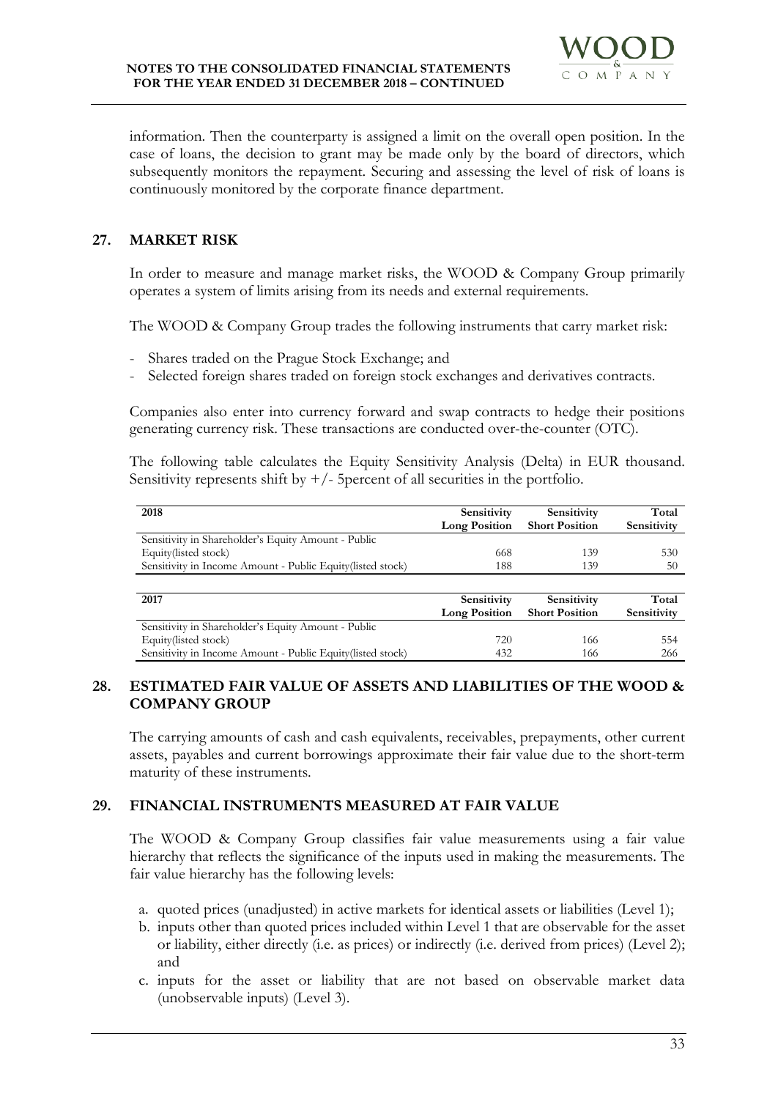

information. Then the counterparty is assigned a limit on the overall open position. In the case of loans, the decision to grant may be made only by the board of directors, which subsequently monitors the repayment. Securing and assessing the level of risk of loans is continuously monitored by the corporate finance department.

# **27. MARKET RISK**

In order to measure and manage market risks, the WOOD & Company Group primarily operates a system of limits arising from its needs and external requirements.

The WOOD & Company Group trades the following instruments that carry market risk:

- Shares traded on the Prague Stock Exchange; and
- Selected foreign shares traded on foreign stock exchanges and derivatives contracts.

Companies also enter into currency forward and swap contracts to hedge their positions generating currency risk. These transactions are conducted over-the-counter (OTC).

The following table calculates the Equity Sensitivity Analysis (Delta) in EUR thousand. Sensitivity represents shift by  $+/-$  5percent of all securities in the portfolio.

| 2018                                                        | Sensitivity          | Sensitivity           | Total       |
|-------------------------------------------------------------|----------------------|-----------------------|-------------|
|                                                             | <b>Long Position</b> | <b>Short Position</b> | Sensitivity |
| Sensitivity in Shareholder's Equity Amount - Public         |                      |                       |             |
| Equity(listed stock)                                        | 668                  | 139                   | 530         |
| Sensitivity in Income Amount - Public Equity (listed stock) | 188                  | 139                   | 50          |
|                                                             |                      |                       |             |
| 2017                                                        | Sensitivity          | Sensitivity           | Total       |
|                                                             | <b>Long Position</b> | <b>Short Position</b> | Sensitivity |
| Sensitivity in Shareholder's Equity Amount - Public         |                      |                       |             |
| Equity(listed stock)                                        | 720                  | 166                   | 554         |
| Sensitivity in Income Amount - Public Equity (listed stock) | 432                  | 166                   | 266         |

# **28. ESTIMATED FAIR VALUE OF ASSETS AND LIABILITIES OF THE WOOD & COMPANY GROUP**

The carrying amounts of cash and cash equivalents, receivables, prepayments, other current assets, payables and current borrowings approximate their fair value due to the short-term maturity of these instruments.

# **29. FINANCIAL INSTRUMENTS MEASURED AT FAIR VALUE**

The WOOD & Company Group classifies fair value measurements using a fair value hierarchy that reflects the significance of the inputs used in making the measurements. The fair value hierarchy has the following levels:

- a. quoted prices (unadjusted) in active markets for identical assets or liabilities (Level 1);
- b. inputs other than quoted prices included within Level 1 that are observable for the asset or liability, either directly (i.e. as prices) or indirectly (i.e. derived from prices) (Level 2); and
- c. inputs for the asset or liability that are not based on observable market data (unobservable inputs) (Level 3).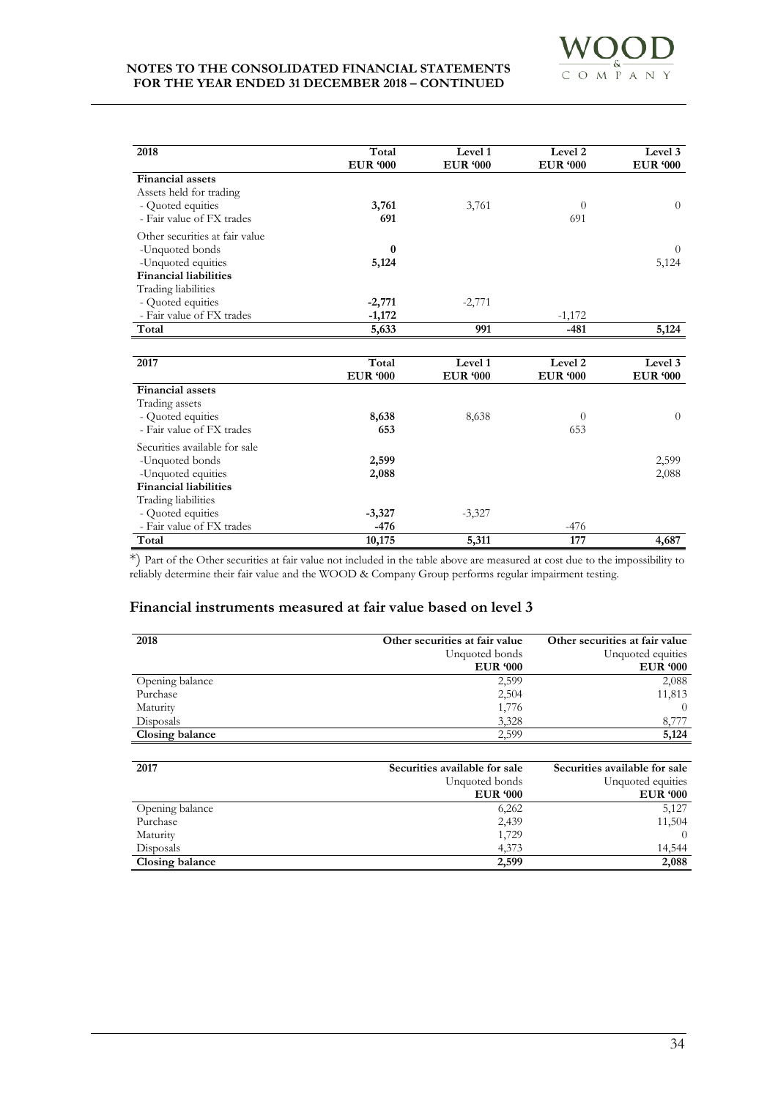

| 2018                                                                                                    | Total                    | Level 1                    | Level <sub>2</sub>         | Level 3                    |
|---------------------------------------------------------------------------------------------------------|--------------------------|----------------------------|----------------------------|----------------------------|
|                                                                                                         | <b>EUR '000</b>          | <b>EUR '000</b>            | <b>EUR '000</b>            | <b>EUR '000</b>            |
| <b>Financial assets</b><br>Assets held for trading<br>- Quoted equities                                 | 3,761                    | 3,761                      | $\theta$                   | $\theta$                   |
| - Fair value of FX trades                                                                               | 691                      |                            | 691                        |                            |
| Other securities at fair value<br>-Unquoted bonds<br>-Unquoted equities<br><b>Financial liabilities</b> | $\bf{0}$<br>5,124        |                            |                            | $\Omega$<br>5,124          |
| Trading liabilities                                                                                     |                          |                            |                            |                            |
| - Quoted equities                                                                                       | $-2,771$                 | $-2,771$                   |                            |                            |
| - Fair value of FX trades                                                                               | $-1,172$                 |                            | $-1,172$                   |                            |
| Total                                                                                                   | 5,633                    | 991                        | $-481$                     | 5,124                      |
|                                                                                                         |                          |                            |                            |                            |
| 2017                                                                                                    | Total<br><b>EUR '000</b> | Level 1<br><b>EUR '000</b> | Level 2<br><b>EUR '000</b> | Level 3<br><b>EUR '000</b> |
| <b>Financial assets</b>                                                                                 |                          |                            |                            |                            |
| Trading assets<br>- Quoted equities<br>- Fair value of FX trades                                        | 8,638<br>653             | 8,638                      | $\theta$<br>653            | $\theta$                   |
| Securities available for sale<br>-Unquoted bonds<br>-Unquoted equities                                  | 2,599<br>2,088           |                            |                            | 2,599<br>2,088             |
| <b>Financial liabilities</b>                                                                            |                          |                            |                            |                            |
| Trading liabilities<br>- Quoted equities                                                                | $-3,327$                 | $-3,327$                   |                            |                            |
| - Fair value of FX trades                                                                               | -476                     |                            | $-476$                     |                            |
| Total                                                                                                   | 10,175                   | 5,311                      | 177                        | 4,687                      |

\*) Part of the Other securities at fair value not included in the table above are measured at cost due to the impossibility to reliably determine their fair value and the WOOD & Company Group performs regular impairment testing.

# **Financial instruments measured at fair value based on level 3**

| 2018            | Other securities at fair value<br>Unquoted bonds | Other securities at fair value<br>Unquoted equities |
|-----------------|--------------------------------------------------|-----------------------------------------------------|
|                 | <b>EUR</b> '000                                  | <b>EUR '000</b>                                     |
| Opening balance | 2,599                                            | 2,088                                               |
| Purchase        | 2,504                                            | 11,813                                              |
| Maturity        | 1,776                                            | $\left($                                            |
| Disposals       | 3,328                                            | 8,777                                               |
| Closing balance | 2.599                                            | 5,124                                               |

| 2017            | Securities available for sale | Securities available for sale |
|-----------------|-------------------------------|-------------------------------|
|                 | Unquoted bonds                | Unquoted equities             |
|                 | <b>EUR</b> '000               | <b>EUR</b> '000               |
| Opening balance | 6,262                         | 5,127                         |
| Purchase        | 2,439                         | 11,504                        |
| Maturity        | 1,729                         | $\Omega$                      |
| Disposals       | 4,373                         | 14.544                        |
| Closing balance | 2,599                         | 2,088                         |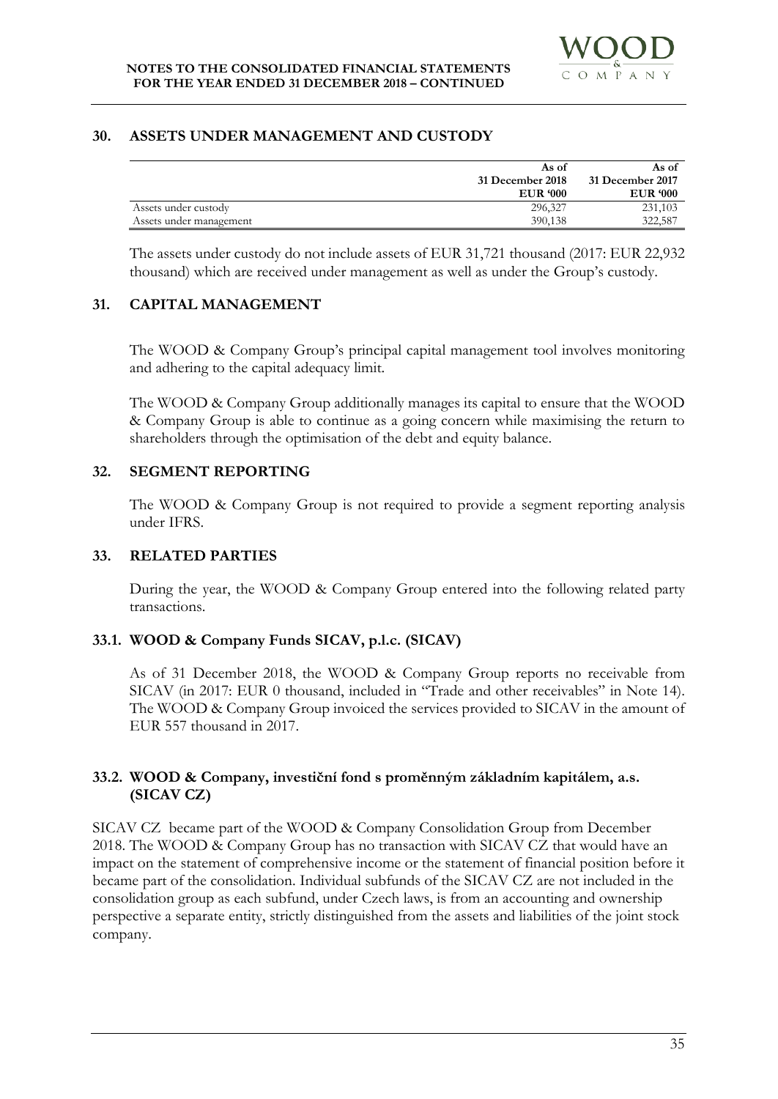#### **30. ASSETS UNDER MANAGEMENT AND CUSTODY**

|                         | As of            | As of            |
|-------------------------|------------------|------------------|
|                         | 31 December 2018 | 31 December 2017 |
|                         | <b>EUR</b> '000  | <b>EUR</b> '000  |
| Assets under custody    | 296,327          | 231,103          |
| Assets under management | 390,138          | 322,587          |

The assets under custody do not include assets of EUR 31,721 thousand (2017: EUR 22,932 thousand) which are received under management as well as under the Group's custody.

#### **31. CAPITAL MANAGEMENT**

The WOOD & Company Group's principal capital management tool involves monitoring and adhering to the capital adequacy limit.

The WOOD & Company Group additionally manages its capital to ensure that the WOOD & Company Group is able to continue as a going concern while maximising the return to shareholders through the optimisation of the debt and equity balance.

# **32. SEGMENT REPORTING**

The WOOD & Company Group is not required to provide a segment reporting analysis under IFRS.

#### **33. RELATED PARTIES**

During the year, the WOOD & Company Group entered into the following related party transactions.

# **33.1. WOOD & Company Funds SICAV, p.l.c. (SICAV)**

As of 31 December 2018, the WOOD & Company Group reports no receivable from SICAV (in 2017: EUR 0 thousand, included in "Trade and other receivables" in Note 14). The WOOD & Company Group invoiced the services provided to SICAV in the amount of EUR 557 thousand in 2017.

# **33.2. WOOD & Company, investiční fond s proměnným základním kapitálem, a.s. (SICAV CZ)**

SICAV CZ became part of the WOOD & Company Consolidation Group from December 2018. The WOOD & Company Group has no transaction with SICAV CZ that would have an impact on the statement of comprehensive income or the statement of financial position before it became part of the consolidation. Individual subfunds of the SICAV CZ are not included in the consolidation group as each subfund, under Czech laws, is from an accounting and ownership perspective a separate entity, strictly distinguished from the assets and liabilities of the joint stock company.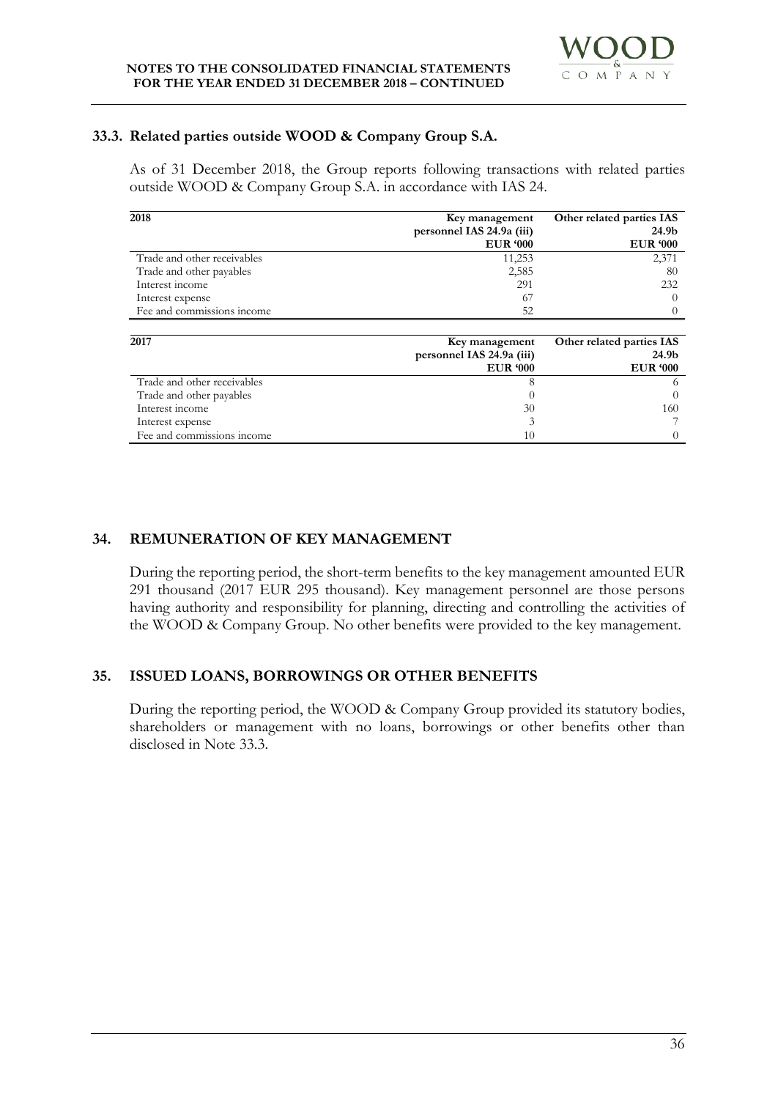# **33.3. Related parties outside WOOD & Company Group S.A.**

As of 31 December 2018, the Group reports following transactions with related parties outside WOOD & Company Group S.A. in accordance with IAS 24.

| 2018                        | Key management            | Other related parties IAS |
|-----------------------------|---------------------------|---------------------------|
|                             | personnel IAS 24.9a (iii) | 24.9b                     |
|                             | <b>EUR '000</b>           | <b>EUR '000</b>           |
| Trade and other receivables | 11,253                    | 2,371                     |
| Trade and other payables    | 2,585                     | 80                        |
| Interest income             | 291                       | 232                       |
| Interest expense            | 67                        | 0                         |
| Fee and commissions income  | 52                        |                           |
|                             |                           |                           |
| 2017                        | Key management            | Other related parties IAS |
|                             | personnel IAS 24.9a (iii) | 24.9b                     |
|                             | <b>EUR '000</b>           | <b>EUR '000</b>           |
| Trade and other receivables | 8                         | 6                         |
| Trade and other payables    | €                         |                           |
| Interest income             | 30                        | 160                       |
| Interest expense            | 3                         |                           |
| Fee and commissions income  | 10                        |                           |

# **34. REMUNERATION OF KEY MANAGEMENT**

During the reporting period, the short-term benefits to the key management amounted EUR 291 thousand (2017 EUR 295 thousand). Key management personnel are those persons having authority and responsibility for planning, directing and controlling the activities of the WOOD & Company Group. No other benefits were provided to the key management.

# **35. ISSUED LOANS, BORROWINGS OR OTHER BENEFITS**

During the reporting period, the WOOD & Company Group provided its statutory bodies, shareholders or management with no loans, borrowings or other benefits other than disclosed in Note 33.3.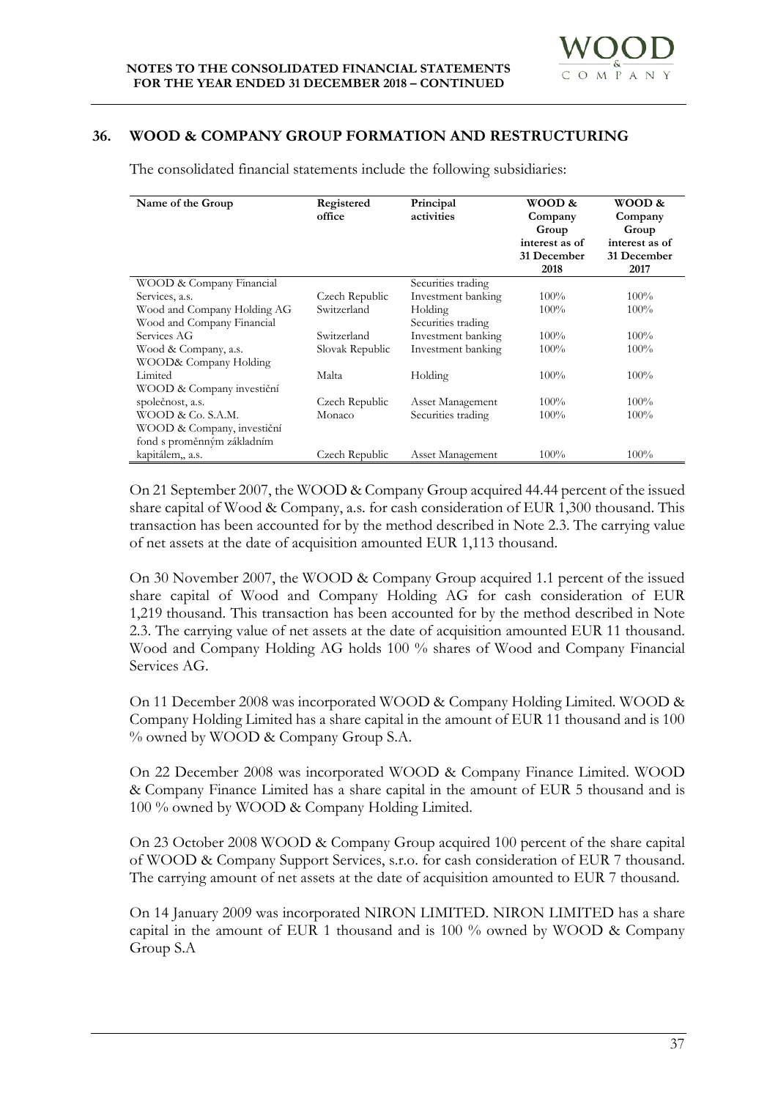# **36. WOOD & COMPANY GROUP FORMATION AND RESTRUCTURING**

**Name of the Group <b>Registered office Principal activities WOOD & Company Group interest as of 31 December 2018 WOOD & Company Group interest as of 31 December 2017** WOOD & Company Financial Services, a.s. Czech Republic Securities trading Investment banking  $100\%$  100% Wood and Company Holding AG Switzerland Holding 100% 100% 100% Wood and Company Financial Services AG<br>
Wood & Company, a.s.<br>
Slovak Republic Securities trading Investment banking  $100\%$ <br>Investment banking  $100\%$   $100\%$ Wood & Company, a.s. WOOD& Company Holding Limited 100% 100% 100% 100% 100% 100% 100% WOOD & Company investiční společnost, a.s. Czech Republic Asset Management 100% 100% WOOD & Co. S.A.M. Monaco Securities trading 100% 100% WOOD & Company, investiční fond s proměnným základním Czech Republic Asset Management 100% 100%

The consolidated financial statements include the following subsidiaries:

On 21 September 2007, the WOOD & Company Group acquired 44.44 percent of the issued share capital of Wood & Company, a.s. for cash consideration of EUR 1,300 thousand. This transaction has been accounted for by the method described in Note 2.3. The carrying value of net assets at the date of acquisition amounted EUR 1,113 thousand.

On 30 November 2007, the WOOD & Company Group acquired 1.1 percent of the issued share capital of Wood and Company Holding AG for cash consideration of EUR 1,219 thousand. This transaction has been accounted for by the method described in Note 2.3. The carrying value of net assets at the date of acquisition amounted EUR 11 thousand. Wood and Company Holding AG holds 100 % shares of Wood and Company Financial Services AG.

On 11 December 2008 was incorporated WOOD & Company Holding Limited. WOOD & Company Holding Limited has a share capital in the amount of EUR 11 thousand and is 100 % owned by WOOD & Company Group S.A.

On 22 December 2008 was incorporated WOOD & Company Finance Limited. WOOD & Company Finance Limited has a share capital in the amount of EUR 5 thousand and is 100 % owned by WOOD & Company Holding Limited.

On 23 October 2008 WOOD & Company Group acquired 100 percent of the share capital of WOOD & Company Support Services, s.r.o. for cash consideration of EUR 7 thousand. The carrying amount of net assets at the date of acquisition amounted to EUR 7 thousand.

On 14 January 2009 was incorporated NIRON LIMITED. NIRON LIMITED has a share capital in the amount of EUR 1 thousand and is 100 % owned by WOOD & Company Group S.A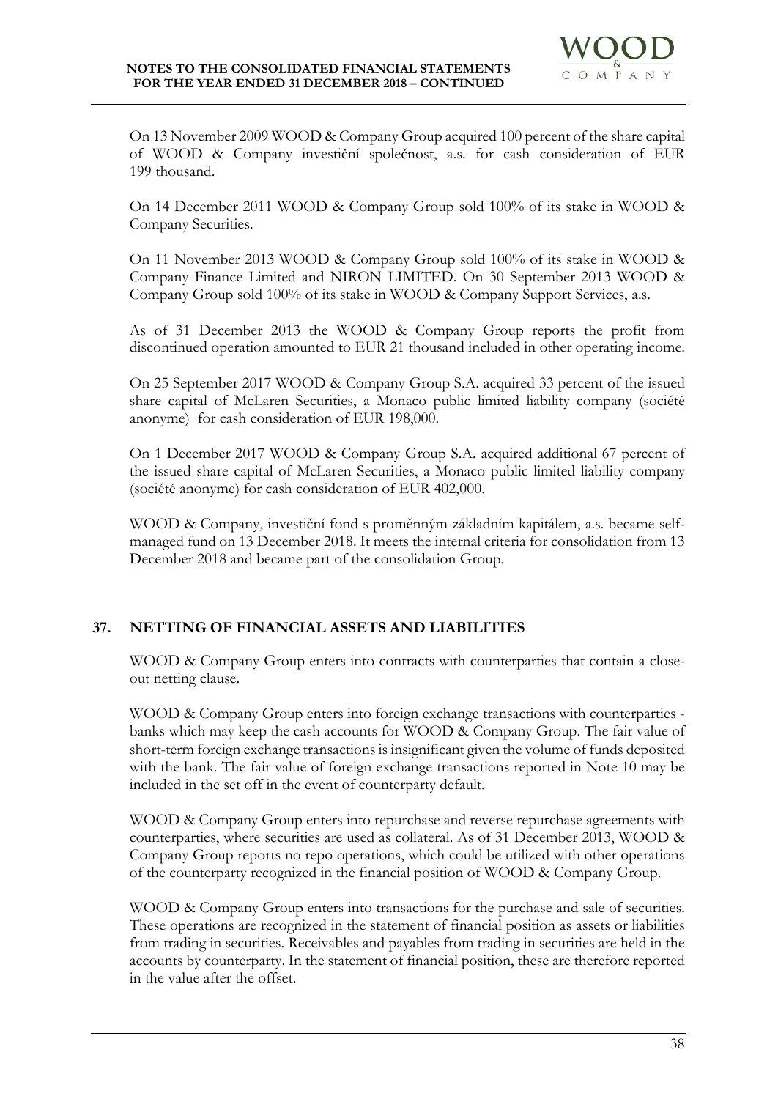

On 13 November 2009 WOOD & Company Group acquired 100 percent of the share capital of WOOD & Company investiční společnost, a.s. for cash consideration of EUR 199 thousand.

On 14 December 2011 WOOD & Company Group sold 100% of its stake in WOOD & Company Securities.

On 11 November 2013 WOOD & Company Group sold 100% of its stake in WOOD & Company Finance Limited and NIRON LIMITED. On 30 September 2013 WOOD & Company Group sold 100% of its stake in WOOD & Company Support Services, a.s.

As of 31 December 2013 the WOOD & Company Group reports the profit from discontinued operation amounted to EUR 21 thousand included in other operating income.

On 25 September 2017 WOOD & Company Group S.A. acquired 33 percent of the issued share capital of McLaren Securities, a Monaco public limited liability company (société anonyme) for cash consideration of EUR 198,000.

On 1 December 2017 WOOD & Company Group S.A. acquired additional 67 percent of the issued share capital of McLaren Securities, a Monaco public limited liability company (société anonyme) for cash consideration of EUR 402,000.

WOOD & Company, investiční fond s proměnným základním kapitálem, a.s. became selfmanaged fund on 13 December 2018. It meets the internal criteria for consolidation from 13 December 2018 and became part of the consolidation Group.

# **37. NETTING OF FINANCIAL ASSETS AND LIABILITIES**

WOOD & Company Group enters into contracts with counterparties that contain a closeout netting clause.

WOOD & Company Group enters into foreign exchange transactions with counterparties banks which may keep the cash accounts for WOOD & Company Group. The fair value of short-term foreign exchange transactions is insignificant given the volume of funds deposited with the bank. The fair value of foreign exchange transactions reported in Note 10 may be included in the set off in the event of counterparty default.

WOOD & Company Group enters into repurchase and reverse repurchase agreements with counterparties, where securities are used as collateral. As of 31 December 2013, WOOD & Company Group reports no repo operations, which could be utilized with other operations of the counterparty recognized in the financial position of WOOD & Company Group.

WOOD & Company Group enters into transactions for the purchase and sale of securities. These operations are recognized in the statement of financial position as assets or liabilities from trading in securities. Receivables and payables from trading in securities are held in the accounts by counterparty. In the statement of financial position, these are therefore reported in the value after the offset.